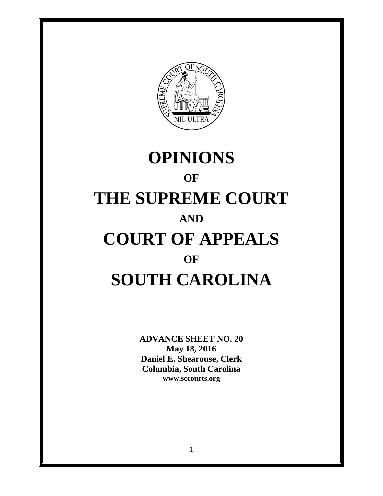

# **OPINIONS OF THE SUPREME COURT AND COURT OF APPEALS OF SOUTH CAROLINA**

**ADVANCE SHEET NO. 20 May 18, 2016 Daniel E. Shearouse, Clerk Columbia, South Carolina www.sccourts.org**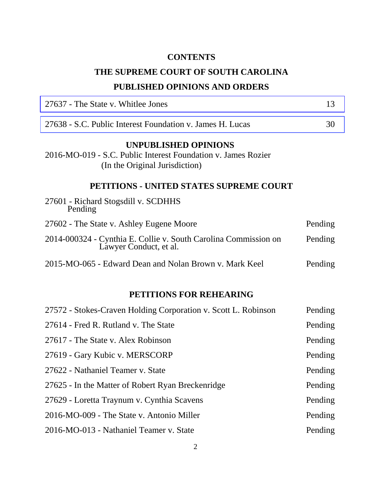# **CONTENTS**

# **THE SUPREME COURT OF SOUTH CAROLINA PUBLISHED OPINIONS AND ORDERS**

| 27637 - The State v. Whitlee Jones                                                                                             | 13      |
|--------------------------------------------------------------------------------------------------------------------------------|---------|
| 27638 - S.C. Public Interest Foundation v. James H. Lucas                                                                      | 30      |
| <b>UNPUBLISHED OPINIONS</b><br>2016-MO-019 - S.C. Public Interest Foundation v. James Rozier<br>(In the Original Jurisdiction) |         |
| PETITIONS - UNITED STATES SUPREME COURT                                                                                        |         |
| 27601 - Richard Stogsdill v. SCDHHS<br>Pending                                                                                 |         |
| 27602 - The State v. Ashley Eugene Moore                                                                                       | Pending |
| 2014-000324 - Cynthia E. Collie v. South Carolina Commission on<br>Lawyer Conduct, et al.                                      | Pending |
| 2015-MO-065 - Edward Dean and Nolan Brown v. Mark Keel                                                                         | Pending |
| PETITIONS FOR REHEARING                                                                                                        |         |
| 27572 - Stokes-Craven Holding Corporation v. Scott L. Robinson                                                                 | Pending |
| 27614 - Fred R. Rutland v. The State                                                                                           | Pending |
| 27617 - The State v. Alex Robinson                                                                                             | Pending |
| 27619 - Gary Kubic v. MERSCORP                                                                                                 | Pending |
| 27622 - Nathaniel Teamer v. State                                                                                              | Pending |
| 27625 - In the Matter of Robert Ryan Breckenridge                                                                              | Pending |
| 27629 - Loretta Traynum v. Cynthia Scavens                                                                                     | Pending |
| 2016-MO-009 - The State v. Antonio Miller                                                                                      | Pending |
| 2016-MO-013 - Nathaniel Teamer v. State                                                                                        | Pending |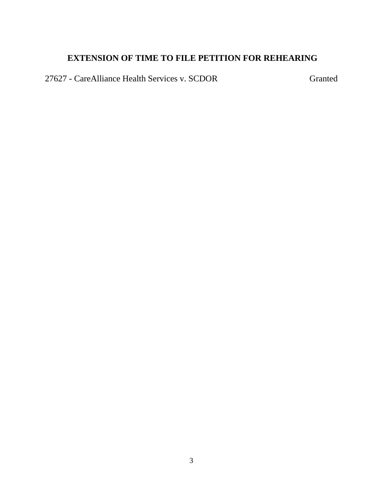# **EXTENSION OF TIME TO FILE PETITION FOR REHEARING**

27627 - CareAlliance Health Services v. SCDOR Granted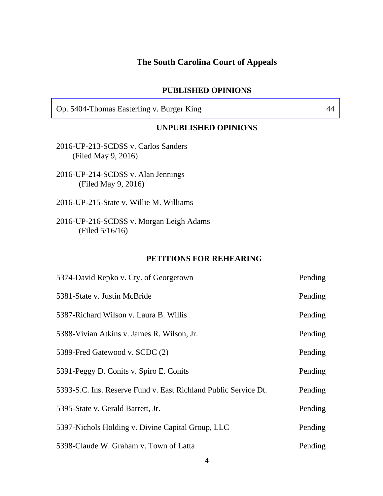# **The South Carolina Court of Appeals**

#### **PUBLISHED OPINIONS**

[Op. 5404-Thomas Easterling v. Burger King 44](#page-43-0) 

#### **UNPUBLISHED OPINIONS**

- 2016-UP-213-SCDSS v. Carlos Sanders (Filed May 9, 2016)
- 2016-UP-214-SCDSS v. Alan Jennings (Filed May 9, 2016)
- 2016-UP-215-State v. Willie M. Williams
- 2016-UP-216-SCDSS v. Morgan Leigh Adams (Filed 5/16/16)

#### **PETITIONS FOR REHEARING**

| 5374-David Repko v. Cty. of Georgetown                          | Pending |
|-----------------------------------------------------------------|---------|
| 5381-State v. Justin McBride                                    | Pending |
| 5387-Richard Wilson v. Laura B. Willis                          | Pending |
| 5388-Vivian Atkins v. James R. Wilson, Jr.                      | Pending |
| 5389-Fred Gatewood v. SCDC (2)                                  | Pending |
| 5391-Peggy D. Conits v. Spiro E. Conits                         | Pending |
| 5393-S.C. Ins. Reserve Fund v. East Richland Public Service Dt. | Pending |
| 5395-State v. Gerald Barrett, Jr.                               | Pending |
| 5397-Nichols Holding v. Divine Capital Group, LLC               | Pending |
| 5398-Claude W. Graham v. Town of Latta                          | Pending |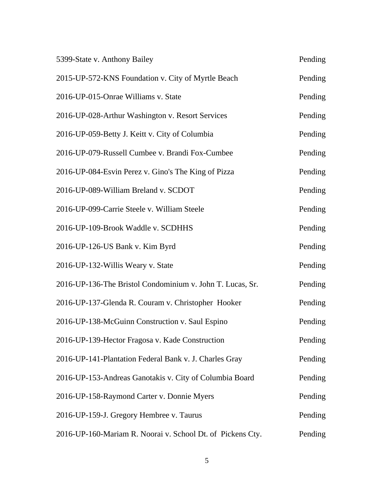| 5399-State v. Anthony Bailey                               | Pending |
|------------------------------------------------------------|---------|
| 2015-UP-572-KNS Foundation v. City of Myrtle Beach         | Pending |
| 2016-UP-015-Onrae Williams v. State                        | Pending |
| 2016-UP-028-Arthur Washington v. Resort Services           | Pending |
| 2016-UP-059-Betty J. Keitt v. City of Columbia             | Pending |
| 2016-UP-079-Russell Cumbee v. Brandi Fox-Cumbee            | Pending |
| 2016-UP-084-Esvin Perez v. Gino's The King of Pizza        | Pending |
| 2016-UP-089-William Breland v. SCDOT                       | Pending |
| 2016-UP-099-Carrie Steele v. William Steele                | Pending |
| 2016-UP-109-Brook Waddle v. SCDHHS                         | Pending |
| 2016-UP-126-US Bank v. Kim Byrd                            | Pending |
| 2016-UP-132-Willis Weary v. State                          | Pending |
| 2016-UP-136-The Bristol Condominium v. John T. Lucas, Sr.  | Pending |
| 2016-UP-137-Glenda R. Couram v. Christopher Hooker         | Pending |
| 2016-UP-138-McGuinn Construction v. Saul Espino            | Pending |
| 2016-UP-139-Hector Fragosa v. Kade Construction            | Pending |
| 2016-UP-141-Plantation Federal Bank v. J. Charles Gray     | Pending |
| 2016-UP-153-Andreas Ganotakis v. City of Columbia Board    | Pending |
| 2016-UP-158-Raymond Carter v. Donnie Myers                 | Pending |
| 2016-UP-159-J. Gregory Hembree v. Taurus                   | Pending |
| 2016-UP-160-Mariam R. Noorai v. School Dt. of Pickens Cty. | Pending |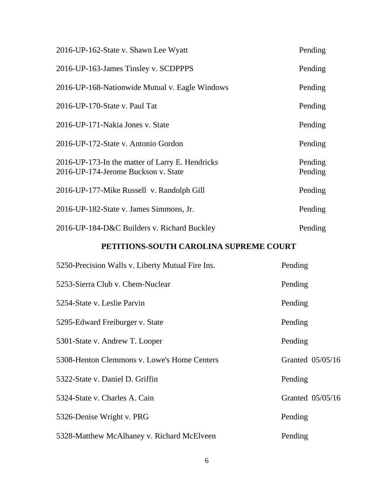| 2016-UP-162-State v. Shawn Lee Wyatt                                                   | Pending            |
|----------------------------------------------------------------------------------------|--------------------|
| 2016-UP-163-James Tinsley v. SCDPPPS                                                   | Pending            |
| 2016-UP-168-Nationwide Mutual v. Eagle Windows                                         | Pending            |
| 2016-UP-170-State v. Paul Tat                                                          | Pending            |
| 2016-UP-171-Nakia Jones v. State                                                       | Pending            |
| 2016-UP-172-State v. Antonio Gordon                                                    | Pending            |
| 2016-UP-173-In the matter of Larry E. Hendricks<br>2016-UP-174-Jerome Buckson v. State | Pending<br>Pending |
| 2016-UP-177-Mike Russell v. Randolph Gill                                              | Pending            |
| 2016-UP-182-State v. James Simmons, Jr.                                                | Pending            |
| 2016-UP-184-D&C Builders v. Richard Buckley                                            | Pending            |

# **PETITIONS-SOUTH CAROLINA SUPREME COURT**

| 5250-Precision Walls v. Liberty Mutual Fire Ins. | Pending          |
|--------------------------------------------------|------------------|
| 5253-Sierra Club v. Chem-Nuclear                 | Pending          |
| 5254-State v. Leslie Parvin                      | Pending          |
| 5295-Edward Freiburger v. State                  | Pending          |
| 5301-State v. Andrew T. Looper                   | Pending          |
| 5308-Henton Clemmons v. Lowe's Home Centers      | Granted 05/05/16 |
| 5322-State v. Daniel D. Griffin                  | Pending          |
| 5324-State v. Charles A. Cain                    | Granted 05/05/16 |
| 5326-Denise Wright v. PRG                        | Pending          |
| 5328-Matthew McAlhaney v. Richard McElveen       | Pending          |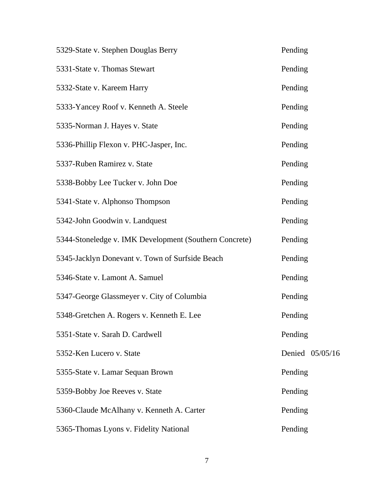| 5329-State v. Stephen Douglas Berry                    | Pending         |
|--------------------------------------------------------|-----------------|
| 5331-State v. Thomas Stewart                           | Pending         |
| 5332-State v. Kareem Harry                             | Pending         |
| 5333-Yancey Roof v. Kenneth A. Steele                  | Pending         |
| 5335-Norman J. Hayes v. State                          | Pending         |
| 5336-Phillip Flexon v. PHC-Jasper, Inc.                | Pending         |
| 5337-Ruben Ramirez v. State                            | Pending         |
| 5338-Bobby Lee Tucker v. John Doe                      | Pending         |
| 5341-State v. Alphonso Thompson                        | Pending         |
| 5342-John Goodwin v. Landquest                         | Pending         |
| 5344-Stoneledge v. IMK Development (Southern Concrete) | Pending         |
| 5345-Jacklyn Donevant v. Town of Surfside Beach        | Pending         |
| 5346-State v. Lamont A. Samuel                         | Pending         |
| 5347-George Glassmeyer v. City of Columbia             | Pending         |
| 5348-Gretchen A. Rogers v. Kenneth E. Lee              | Pending         |
| 5351-State v. Sarah D. Cardwell                        | Pending         |
| 5352-Ken Lucero v. State                               | Denied 05/05/16 |
| 5355-State v. Lamar Sequan Brown                       | Pending         |
| 5359-Bobby Joe Reeves v. State                         | Pending         |
| 5360-Claude McAlhany v. Kenneth A. Carter              | Pending         |
| 5365-Thomas Lyons v. Fidelity National                 | Pending         |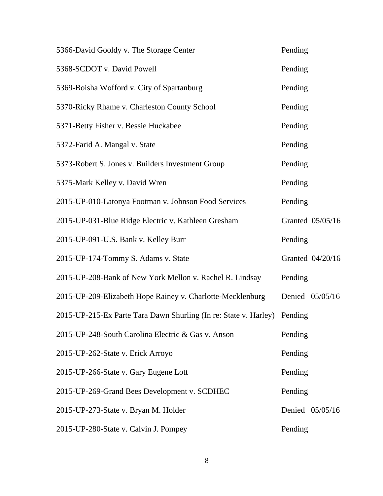| 5366-David Gooldy v. The Storage Center                          | Pending          |
|------------------------------------------------------------------|------------------|
| 5368-SCDOT v. David Powell                                       | Pending          |
| 5369-Boisha Wofford v. City of Spartanburg                       | Pending          |
| 5370-Ricky Rhame v. Charleston County School                     | Pending          |
| 5371-Betty Fisher v. Bessie Huckabee                             | Pending          |
| 5372-Farid A. Mangal v. State                                    | Pending          |
| 5373-Robert S. Jones v. Builders Investment Group                | Pending          |
| 5375-Mark Kelley v. David Wren                                   | Pending          |
| 2015-UP-010-Latonya Footman v. Johnson Food Services             | Pending          |
| 2015-UP-031-Blue Ridge Electric v. Kathleen Gresham              | Granted 05/05/16 |
| 2015-UP-091-U.S. Bank v. Kelley Burr                             | Pending          |
| 2015-UP-174-Tommy S. Adams v. State                              | Granted 04/20/16 |
| 2015-UP-208-Bank of New York Mellon v. Rachel R. Lindsay         | Pending          |
| 2015-UP-209-Elizabeth Hope Rainey v. Charlotte-Mecklenburg       | Denied 05/05/16  |
| 2015-UP-215-Ex Parte Tara Dawn Shurling (In re: State v. Harley) | Pending          |
| 2015-UP-248-South Carolina Electric & Gas v. Anson               | Pending          |
| 2015-UP-262-State v. Erick Arroyo                                | Pending          |
| 2015-UP-266-State v. Gary Eugene Lott                            | Pending          |
| 2015-UP-269-Grand Bees Development v. SCDHEC                     | Pending          |
| 2015-UP-273-State v. Bryan M. Holder                             | Denied 05/05/16  |
| 2015-UP-280-State v. Calvin J. Pompey                            | Pending          |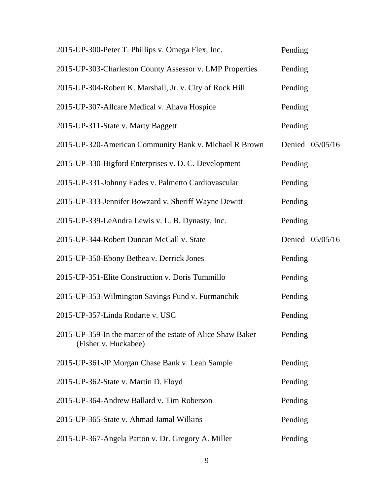| 2015-UP-300-Peter T. Phillips v. Omega Flex, Inc.                                   | Pending         |
|-------------------------------------------------------------------------------------|-----------------|
| 2015-UP-303-Charleston County Assessor v. LMP Properties                            | Pending         |
| 2015-UP-304-Robert K. Marshall, Jr. v. City of Rock Hill                            | Pending         |
| 2015-UP-307-Allcare Medical v. Ahava Hospice                                        | Pending         |
| 2015-UP-311-State v. Marty Baggett                                                  | Pending         |
| 2015-UP-320-American Community Bank v. Michael R Brown                              | Denied 05/05/16 |
| 2015-UP-330-Bigford Enterprises v. D. C. Development                                | Pending         |
| 2015-UP-331-Johnny Eades v. Palmetto Cardiovascular                                 | Pending         |
| 2015-UP-333-Jennifer Bowzard v. Sheriff Wayne Dewitt                                | Pending         |
| 2015-UP-339-LeAndra Lewis v. L. B. Dynasty, Inc.                                    | Pending         |
| 2015-UP-344-Robert Duncan McCall v. State                                           | Denied 05/05/16 |
| 2015-UP-350-Ebony Bethea v. Derrick Jones                                           | Pending         |
| 2015-UP-351-Elite Construction v. Doris Tummillo                                    | Pending         |
| 2015-UP-353-Wilmington Savings Fund v. Furmanchik                                   | Pending         |
| 2015-UP-357-Linda Rodarte v. USC                                                    | Pending         |
| 2015-UP-359-In the matter of the estate of Alice Shaw Baker<br>(Fisher v. Huckabee) | Pending         |
| 2015-UP-361-JP Morgan Chase Bank v. Leah Sample                                     | Pending         |
| 2015-UP-362-State v. Martin D. Floyd                                                | Pending         |
| 2015-UP-364-Andrew Ballard v. Tim Roberson                                          | Pending         |
| 2015-UP-365-State v. Ahmad Jamal Wilkins                                            | Pending         |
| 2015-UP-367-Angela Patton v. Dr. Gregory A. Miller                                  | Pending         |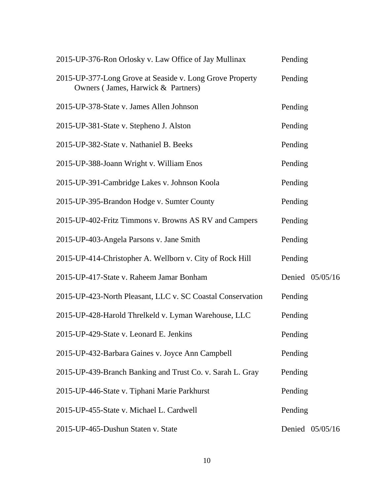| 2015-UP-376-Ron Orlosky v. Law Office of Jay Mullinax                                          | Pending         |
|------------------------------------------------------------------------------------------------|-----------------|
| 2015-UP-377-Long Grove at Seaside v. Long Grove Property<br>Owners (James, Harwick & Partners) | Pending         |
| 2015-UP-378-State v. James Allen Johnson                                                       | Pending         |
| 2015-UP-381-State v. Stepheno J. Alston                                                        | Pending         |
| 2015-UP-382-State v. Nathaniel B. Beeks                                                        | Pending         |
| 2015-UP-388-Joann Wright v. William Enos                                                       | Pending         |
| 2015-UP-391-Cambridge Lakes v. Johnson Koola                                                   | Pending         |
| 2015-UP-395-Brandon Hodge v. Sumter County                                                     | Pending         |
| 2015-UP-402-Fritz Timmons v. Browns AS RV and Campers                                          | Pending         |
| 2015-UP-403-Angela Parsons v. Jane Smith                                                       | Pending         |
| 2015-UP-414-Christopher A. Wellborn v. City of Rock Hill                                       | Pending         |
| 2015-UP-417-State v. Raheem Jamar Bonham                                                       | Denied 05/05/16 |
| 2015-UP-423-North Pleasant, LLC v. SC Coastal Conservation                                     | Pending         |
| 2015-UP-428-Harold Threlkeld v. Lyman Warehouse, LLC                                           | Pending         |
| 2015-UP-429-State v. Leonard E. Jenkins                                                        | Pending         |
| 2015-UP-432-Barbara Gaines v. Joyce Ann Campbell                                               | Pending         |
| 2015-UP-439-Branch Banking and Trust Co. v. Sarah L. Gray                                      | Pending         |
| 2015-UP-446-State v. Tiphani Marie Parkhurst                                                   | Pending         |
| 2015-UP-455-State v. Michael L. Cardwell                                                       | Pending         |
| 2015-UP-465-Dushun Staten v. State                                                             | Denied 05/05/16 |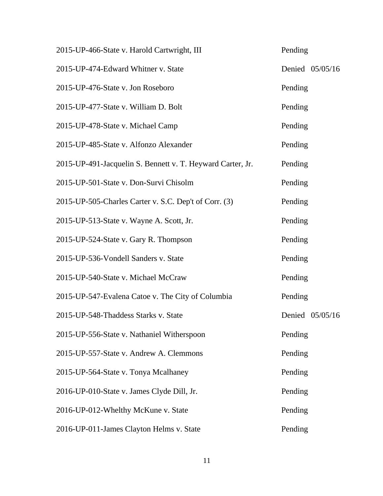| 2015-UP-466-State v. Harold Cartwright, III                | Pending         |
|------------------------------------------------------------|-----------------|
| 2015-UP-474-Edward Whitner v. State                        | Denied 05/05/16 |
| 2015-UP-476-State v. Jon Roseboro                          | Pending         |
| 2015-UP-477-State v. William D. Bolt                       | Pending         |
| 2015-UP-478-State v. Michael Camp                          | Pending         |
| 2015-UP-485-State v. Alfonzo Alexander                     | Pending         |
| 2015-UP-491-Jacquelin S. Bennett v. T. Heyward Carter, Jr. | Pending         |
| 2015-UP-501-State v. Don-Survi Chisolm                     | Pending         |
| 2015-UP-505-Charles Carter v. S.C. Dep't of Corr. (3)      | Pending         |
| 2015-UP-513-State v. Wayne A. Scott, Jr.                   | Pending         |
| 2015-UP-524-State v. Gary R. Thompson                      | Pending         |
| 2015-UP-536-Vondell Sanders v. State                       | Pending         |
| 2015-UP-540-State v. Michael McCraw                        | Pending         |
| 2015-UP-547-Evalena Catoe v. The City of Columbia          | Pending         |
| 2015-UP-548-Thaddess Starks v. State                       | Denied 05/05/16 |
| 2015-UP-556-State v. Nathaniel Witherspoon                 | Pending         |
| 2015-UP-557-State v. Andrew A. Clemmons                    | Pending         |
| 2015-UP-564-State v. Tonya Mcalhaney                       | Pending         |
| 2016-UP-010-State v. James Clyde Dill, Jr.                 | Pending         |
| 2016-UP-012-Whelthy McKune v. State                        | Pending         |
| 2016-UP-011-James Clayton Helms v. State                   | Pending         |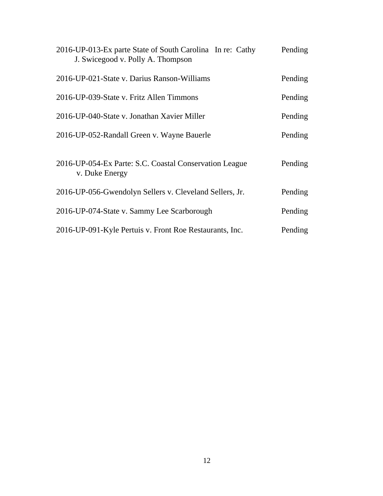| 2016-UP-013-Ex parte State of South Carolina In re: Cathy<br>J. Swicegood v. Polly A. Thompson | Pending |
|------------------------------------------------------------------------------------------------|---------|
| 2016-UP-021-State v. Darius Ranson-Williams                                                    | Pending |
| 2016-UP-039-State v. Fritz Allen Timmons                                                       | Pending |
| 2016-UP-040-State v. Jonathan Xavier Miller                                                    | Pending |
| 2016-UP-052-Randall Green v. Wayne Bauerle                                                     | Pending |
| 2016-UP-054-Ex Parte: S.C. Coastal Conservation League<br>v. Duke Energy                       | Pending |
| 2016-UP-056-Gwendolyn Sellers v. Cleveland Sellers, Jr.                                        | Pending |
| 2016-UP-074-State v. Sammy Lee Scarborough                                                     | Pending |
| 2016-UP-091-Kyle Pertuis v. Front Roe Restaurants, Inc.                                        | Pending |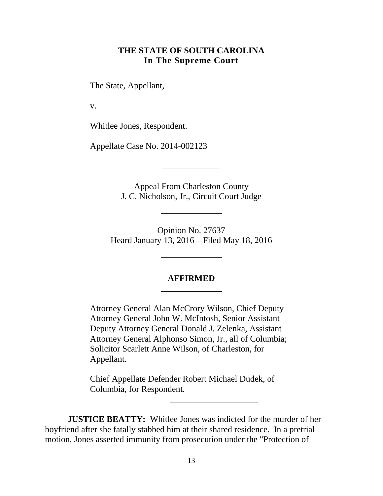## **THE STATE OF SOUTH CAROLINA In The Supreme Court**

<span id="page-12-0"></span>The State, Appellant,

v.

Whitlee Jones, Respondent.

Appellate Case No. 2014-002123

Appeal From Charleston County J. C. Nicholson, Jr., Circuit Court Judge

Opinion No. 27637 Heard January 13, 2016 – Filed May 18, 2016

#### **AFFIRMED**

Attorney General Alan McCrory Wilson, Chief Deputy Attorney General John W. McIntosh, Senior Assistant Deputy Attorney General Donald J. Zelenka, Assistant Attorney General Alphonso Simon, Jr., all of Columbia; Solicitor Scarlett Anne Wilson, of Charleston, for Appellant.

Chief Appellate Defender Robert Michael Dudek, of Columbia, for Respondent.

**JUSTICE BEATTY:** Whitlee Jones was indicted for the murder of her boyfriend after she fatally stabbed him at their shared residence. In a pretrial motion, Jones asserted immunity from prosecution under the "Protection of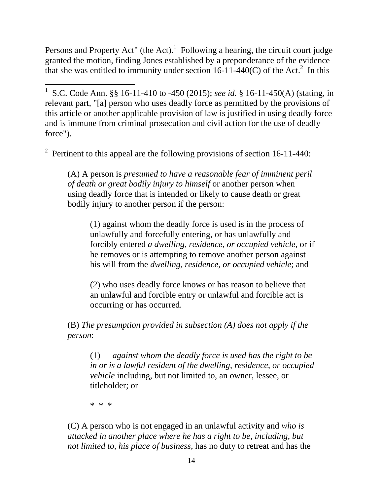Persons and Property Act" (the Act). Following a hearing, the circuit court judge granted the motion, finding Jones established by a preponderance of the evidence that she was entitled to immunity under section 16-11-440(C) of the Act.<sup>2</sup> In this

 $\overline{a}$ 1 S.C. Code Ann. §§ 16-11-410 to -450 (2015); *see id.* § 16-11-450(A) (stating, in relevant part, "[a] person who uses deadly force as permitted by the provisions of this article or another applicable provision of law is justified in using deadly force and is immune from criminal prosecution and civil action for the use of deadly force").

<sup>2</sup> Pertinent to this appeal are the following provisions of section 16-11-440:

(A) A person is *presumed to have a reasonable fear of imminent peril of death or great bodily injury to himself* or another person when using deadly force that is intended or likely to cause death or great bodily injury to another person if the person:

(1) against whom the deadly force is used is in the process of unlawfully and forcefully entering, or has unlawfully and forcibly entered *a dwelling, residence*, *or occupied vehicle*, or if he removes or is attempting to remove another person against his will from the *dwelling, residence*, *or occupied vehicle*; and

(2) who uses deadly force knows or has reason to believe that an unlawful and forcible entry or unlawful and forcible act is occurring or has occurred.

(B) *The presumption provided in subsection (A) does not apply if the person*:

(1) *against whom the deadly force is used has the right to be in or is a lawful resident of the dwelling, residence*, *or occupied vehicle* including, but not limited to, an owner, lessee, or titleholder; or

\* \* \*

(C) A person who is not engaged in an unlawful activity and *who is attacked in another place where he has a right to be*, *including, but not limited to, his place of business*, has no duty to retreat and has the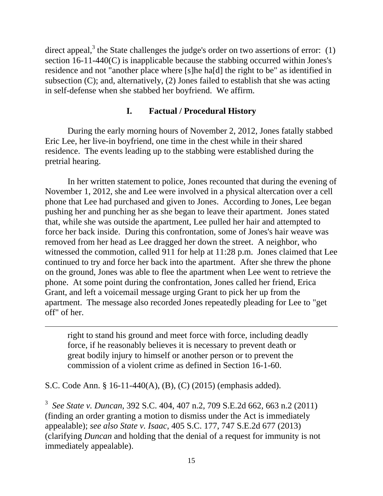direct appeal,<sup>3</sup> the State challenges the judge's order on two assertions of error:  $(1)$ section 16-11-440(C) is inapplicable because the stabbing occurred within Jones's residence and not "another place where [s]he ha[d] the right to be" as identified in subsection (C); and, alternatively, (2) Jones failed to establish that she was acting in self-defense when she stabbed her boyfriend. We affirm.

## **I. Factual / Procedural History**

During the early morning hours of November 2, 2012, Jones fatally stabbed Eric Lee, her live-in boyfriend, one time in the chest while in their shared residence. The events leading up to the stabbing were established during the pretrial hearing.

In her written statement to police, Jones recounted that during the evening of November 1, 2012, she and Lee were involved in a physical altercation over a cell phone that Lee had purchased and given to Jones. According to Jones, Lee began pushing her and punching her as she began to leave their apartment. Jones stated that, while she was outside the apartment, Lee pulled her hair and attempted to force her back inside. During this confrontation, some of Jones's hair weave was removed from her head as Lee dragged her down the street. A neighbor, who witnessed the commotion, called 911 for help at 11:28 p.m. Jones claimed that Lee continued to try and force her back into the apartment. After she threw the phone on the ground, Jones was able to flee the apartment when Lee went to retrieve the phone. At some point during the confrontation, Jones called her friend, Erica Grant, and left a voicemail message urging Grant to pick her up from the apartment. The message also recorded Jones repeatedly pleading for Lee to "get off" of her.

right to stand his ground and meet force with force, including deadly force, if he reasonably believes it is necessary to prevent death or great bodily injury to himself or another person or to prevent the commission of a violent crime as defined in Section 16-1-60.

S.C. Code Ann. § 16-11-440(A), (B), (C) (2015) (emphasis added).

 $\overline{a}$ 

 <sup>3</sup>*See State v. Duncan*, 392 S.C. 404, 407 n.2, 709 S.E.2d 662, 663 n.2 (2011) appealable); *see also State v. Isaac*, 405 S.C. 177, 747 S.E.2d 677 (2013) (finding an order granting a motion to dismiss under the Act is immediately (clarifying *Duncan* and holding that the denial of a request for immunity is not immediately appealable).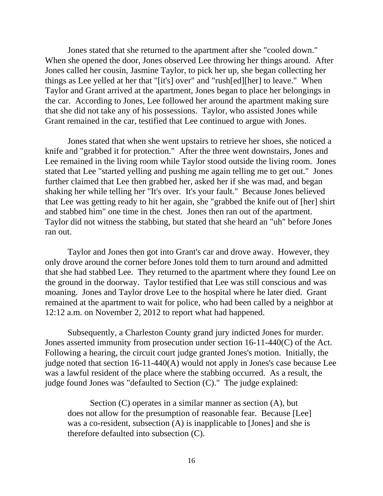Jones stated that she returned to the apartment after she "cooled down." When she opened the door, Jones observed Lee throwing her things around. After Jones called her cousin, Jasmine Taylor, to pick her up, she began collecting her things as Lee yelled at her that "[it's] over" and "rush[ed][her] to leave." When Taylor and Grant arrived at the apartment, Jones began to place her belongings in the car. According to Jones, Lee followed her around the apartment making sure that she did not take any of his possessions. Taylor, who assisted Jones while Grant remained in the car, testified that Lee continued to argue with Jones.

Jones stated that when she went upstairs to retrieve her shoes, she noticed a knife and "grabbed it for protection." After the three went downstairs, Jones and Lee remained in the living room while Taylor stood outside the living room. Jones stated that Lee "started yelling and pushing me again telling me to get out." Jones further claimed that Lee then grabbed her, asked her if she was mad, and began shaking her while telling her "It's over. It's your fault." Because Jones believed that Lee was getting ready to hit her again, she "grabbed the knife out of [her] shirt and stabbed him" one time in the chest. Jones then ran out of the apartment. Taylor did not witness the stabbing, but stated that she heard an "uh" before Jones ran out.

Taylor and Jones then got into Grant's car and drove away. However, they only drove around the corner before Jones told them to turn around and admitted that she had stabbed Lee. They returned to the apartment where they found Lee on the ground in the doorway. Taylor testified that Lee was still conscious and was moaning. Jones and Taylor drove Lee to the hospital where he later died. Grant remained at the apartment to wait for police, who had been called by a neighbor at 12:12 a.m. on November 2, 2012 to report what had happened.

Subsequently, a Charleston County grand jury indicted Jones for murder. Jones asserted immunity from prosecution under section 16-11-440(C) of the Act. Following a hearing, the circuit court judge granted Jones's motion. Initially, the judge noted that section 16-11-440(A) would not apply in Jones's case because Lee was a lawful resident of the place where the stabbing occurred. As a result, the judge found Jones was "defaulted to Section (C)." The judge explained:

Section (C) operates in a similar manner as section (A), but does not allow for the presumption of reasonable fear. Because [Lee] was a co-resident, subsection (A) is inapplicable to [Jones] and she is therefore defaulted into subsection (C).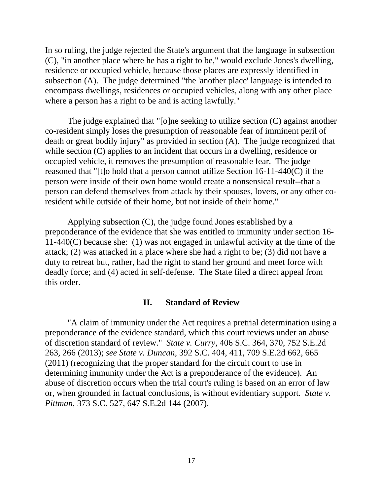In so ruling, the judge rejected the State's argument that the language in subsection (C), "in another place where he has a right to be," would exclude Jones's dwelling, residence or occupied vehicle, because those places are expressly identified in subsection (A). The judge determined "the 'another place' language is intended to encompass dwellings, residences or occupied vehicles, along with any other place where a person has a right to be and is acting lawfully."

The judge explained that "[o]ne seeking to utilize section (C) against another co-resident simply loses the presumption of reasonable fear of imminent peril of death or great bodily injury" as provided in section (A). The judge recognized that while section (C) applies to an incident that occurs in a dwelling, residence or occupied vehicle, it removes the presumption of reasonable fear. The judge reasoned that "[t]o hold that a person cannot utilize Section 16-11-440(C) if the person were inside of their own home would create a nonsensical result--that a person can defend themselves from attack by their spouses, lovers, or any other coresident while outside of their home, but not inside of their home."

Applying subsection (C), the judge found Jones established by a preponderance of the evidence that she was entitled to immunity under section 16- 11-440(C) because she: (1) was not engaged in unlawful activity at the time of the attack; (2) was attacked in a place where she had a right to be; (3) did not have a duty to retreat but, rather, had the right to stand her ground and meet force with deadly force; and (4) acted in self-defense. The State filed a direct appeal from this order.

#### **II. Standard of Review**

 263, 266 (2013); *see State v. Duncan,* 392 S.C. 404, 411, 709 S.E.2d 662, 665 "A claim of immunity under the Act requires a pretrial determination using a preponderance of the evidence standard, which this court reviews under an abuse of discretion standard of review." *State v. Curry*, 406 S.C. 364, 370, 752 S.E.2d (2011) (recognizing that the proper standard for the circuit court to use in determining immunity under the Act is a preponderance of the evidence). An abuse of discretion occurs when the trial court's ruling is based on an error of law or, when grounded in factual conclusions, is without evidentiary support. *State v. Pittman*, 373 S.C. 527, 647 S.E.2d 144 (2007).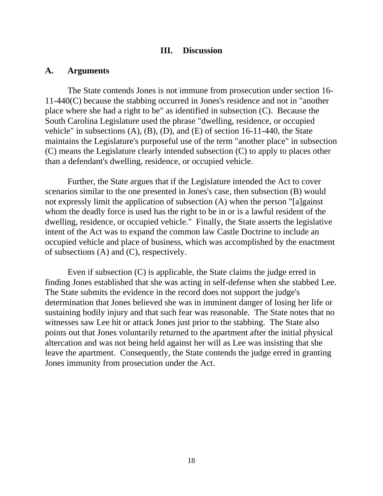#### **III. Discussion**

#### **A. Arguments**

The State contends Jones is not immune from prosecution under section 16- 11-440(C) because the stabbing occurred in Jones's residence and not in "another place where she had a right to be" as identified in subsection (C). Because the South Carolina Legislature used the phrase "dwelling, residence, or occupied vehicle" in subsections  $(A)$ ,  $(B)$ ,  $(D)$ , and  $(E)$  of section 16-11-440, the State maintains the Legislature's purposeful use of the term "another place" in subsection (C) means the Legislature clearly intended subsection (C) to apply to places other than a defendant's dwelling, residence, or occupied vehicle.

Further, the State argues that if the Legislature intended the Act to cover scenarios similar to the one presented in Jones's case, then subsection (B) would not expressly limit the application of subsection (A) when the person "[a]gainst whom the deadly force is used has the right to be in or is a lawful resident of the dwelling, residence, or occupied vehicle." Finally, the State asserts the legislative intent of the Act was to expand the common law Castle Doctrine to include an occupied vehicle and place of business, which was accomplished by the enactment of subsections (A) and (C), respectively.

Even if subsection (C) is applicable, the State claims the judge erred in finding Jones established that she was acting in self-defense when she stabbed Lee. The State submits the evidence in the record does not support the judge's determination that Jones believed she was in imminent danger of losing her life or sustaining bodily injury and that such fear was reasonable. The State notes that no witnesses saw Lee hit or attack Jones just prior to the stabbing. The State also points out that Jones voluntarily returned to the apartment after the initial physical altercation and was not being held against her will as Lee was insisting that she leave the apartment. Consequently, the State contends the judge erred in granting Jones immunity from prosecution under the Act.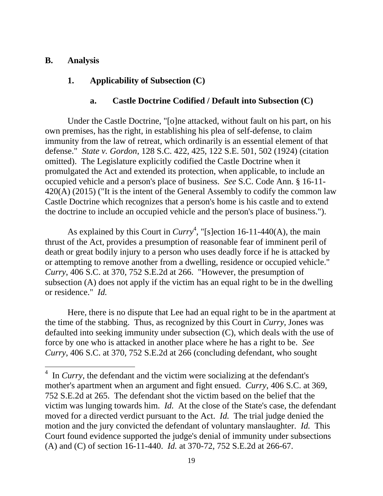#### **B. Analysis**

 $\overline{a}$ 

# **1. Applicability of Subsection (C)**

#### **a. Castle Doctrine Codified / Default into Subsection (C)**

Under the Castle Doctrine, "[o]ne attacked, without fault on his part, on his own premises, has the right, in establishing his plea of self-defense, to claim immunity from the law of retreat, which ordinarily is an essential element of that defense." *State v. Gordon*, 128 S.C. 422, 425, 122 S.E. 501, 502 (1924) (citation omitted). The Legislature explicitly codified the Castle Doctrine when it promulgated the Act and extended its protection, when applicable, to include an occupied vehicle and a person's place of business. *See* S.C. Code Ann. § 16-11- 420(A) (2015) ("It is the intent of the General Assembly to codify the common law Castle Doctrine which recognizes that a person's home is his castle and to extend the doctrine to include an occupied vehicle and the person's place of business.").

 or residence." *Id.* As explained by this Court in  $Curry^4$ , "[s]ection 16-11-440(A), the main thrust of the Act, provides a presumption of reasonable fear of imminent peril of death or great bodily injury to a person who uses deadly force if he is attacked by or attempting to remove another from a dwelling, residence or occupied vehicle." *Curry*, 406 S.C. at 370, 752 S.E.2d at 266. "However, the presumption of subsection (A) does not apply if the victim has an equal right to be in the dwelling

Here, there is no dispute that Lee had an equal right to be in the apartment at the time of the stabbing. Thus, as recognized by this Court in *Curry*, Jones was defaulted into seeking immunity under subsection (C), which deals with the use of force by one who is attacked in another place where he has a right to be. *See Curry*, 406 S.C. at 370, 752 S.E.2d at 266 (concluding defendant, who sought

<sup>&</sup>lt;sup>4</sup> In *Curry*, the defendant and the victim were socializing at the defendant's mother's apartment when an argument and fight ensued. *Curry*, 406 S.C. at 369, 752 S.E.2d at 265. The defendant shot the victim based on the belief that the victim was lunging towards him. *Id.* At the close of the State's case, the defendant moved for a directed verdict pursuant to the Act. *Id.* The trial judge denied the motion and the jury convicted the defendant of voluntary manslaughter. *Id.* This Court found evidence supported the judge's denial of immunity under subsections (A) and (C) of section 16-11-440. *Id.* at 370-72, 752 S.E.2d at 266-67.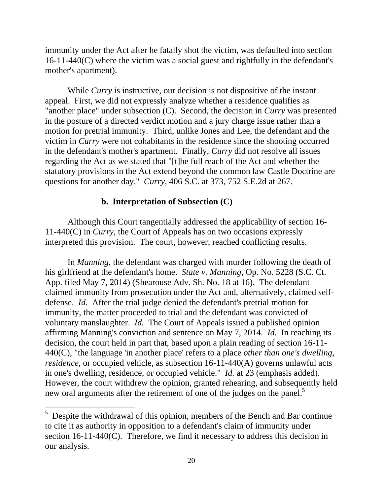immunity under the Act after he fatally shot the victim, was defaulted into section 16-11-440(C) where the victim was a social guest and rightfully in the defendant's mother's apartment).

While *Curry* is instructive, our decision is not dispositive of the instant appeal. First, we did not expressly analyze whether a residence qualifies as "another place" under subsection (C). Second, the decision in *Curry* was presented in the posture of a directed verdict motion and a jury charge issue rather than a motion for pretrial immunity. Third, unlike Jones and Lee, the defendant and the victim in *Curry* were not cohabitants in the residence since the shooting occurred in the defendant's mother's apartment. Finally, *Curry* did not resolve all issues regarding the Act as we stated that "[t]he full reach of the Act and whether the statutory provisions in the Act extend beyond the common law Castle Doctrine are questions for another day." *Curry*, 406 S.C. at 373, 752 S.E.2d at 267.

## **b. Interpretation of Subsection (C)**

Although this Court tangentially addressed the applicability of section 16- 11-440(C) in *Curry*, the Court of Appeals has on two occasions expressly interpreted this provision. The court, however, reached conflicting results.

new oral arguments after the retirement of one of the judges on the panel.<sup>5</sup> In *Manning*, the defendant was charged with murder following the death of his girlfriend at the defendant's home. *State v. Manning*, Op. No. 5228 (S.C. Ct. App. filed May 7, 2014) (Shearouse Adv. Sh. No. 18 at 16). The defendant claimed immunity from prosecution under the Act and, alternatively, claimed selfdefense. *Id.* After the trial judge denied the defendant's pretrial motion for immunity, the matter proceeded to trial and the defendant was convicted of voluntary manslaughter. *Id.* The Court of Appeals issued a published opinion affirming Manning's conviction and sentence on May 7, 2014. *Id.* In reaching its decision, the court held in part that, based upon a plain reading of section 16-11- 440(C), "the language 'in another place' refers to a place *other than one's dwelling, residence*, or occupied vehicle, as subsection 16-11-440(A) governs unlawful acts in one's dwelling, residence, or occupied vehicle." *Id.* at 23 (emphasis added). However, the court withdrew the opinion, granted rehearing, and subsequently held

 $\overline{a}$ 

 $5$  Despite the withdrawal of this opinion, members of the Bench and Bar continue to cite it as authority in opposition to a defendant's claim of immunity under section 16-11-440(C). Therefore, we find it necessary to address this decision in our analysis.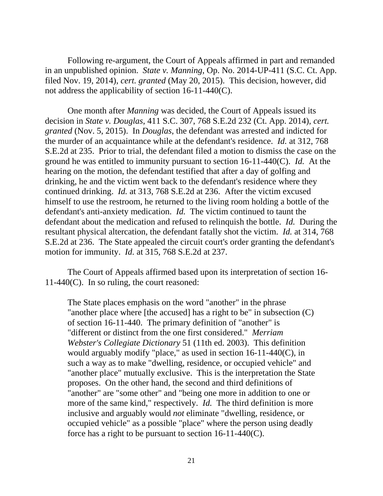Following re-argument, the Court of Appeals affirmed in part and remanded in an unpublished opinion. *State v. Manning*, Op. No. 2014-UP-411 (S.C. Ct. App. filed Nov. 19, 2014), *cert. granted* (May 20, 2015). This decision, however, did not address the applicability of section 16-11-440(C).

One month after *Manning* was decided, the Court of Appeals issued its decision in *State v. Douglas*, 411 S.C. 307, 768 S.E.2d 232 (Ct. App. 2014), *cert. granted* (Nov. 5, 2015). In *Douglas*, the defendant was arrested and indicted for the murder of an acquaintance while at the defendant's residence. *Id.* at 312, 768 S.E.2d at 235. Prior to trial, the defendant filed a motion to dismiss the case on the ground he was entitled to immunity pursuant to section 16-11-440(C). *Id.* At the hearing on the motion, the defendant testified that after a day of golfing and drinking, he and the victim went back to the defendant's residence where they continued drinking. *Id.* at 313, 768 S.E.2d at 236. After the victim excused himself to use the restroom, he returned to the living room holding a bottle of the defendant's anti-anxiety medication. *Id.* The victim continued to taunt the defendant about the medication and refused to relinquish the bottle. *Id.* During the resultant physical altercation, the defendant fatally shot the victim. *Id.* at 314, 768 S.E.2d at 236. The State appealed the circuit court's order granting the defendant's motion for immunity. *Id.* at 315, 768 S.E.2d at 237.

The Court of Appeals affirmed based upon its interpretation of section 16- 11-440(C). In so ruling, the court reasoned:

The State places emphasis on the word "another" in the phrase "another place where [the accused] has a right to be" in subsection (C) of section 16-11-440. The primary definition of "another" is "different or distinct from the one first considered." *Merriam Webster's Collegiate Dictionary* 51 (11th ed. 2003). This definition would arguably modify "place," as used in section 16-11-440(C), in such a way as to make "dwelling, residence, or occupied vehicle" and "another place" mutually exclusive. This is the interpretation the State proposes. On the other hand, the second and third definitions of "another" are "some other" and "being one more in addition to one or more of the same kind," respectively. *Id.* The third definition is more inclusive and arguably would *not* eliminate "dwelling, residence, or occupied vehicle" as a possible "place" where the person using deadly force has a right to be pursuant to section 16-11-440(C).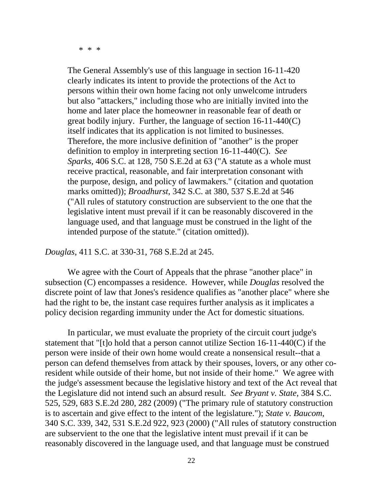\* \* \*

The General Assembly's use of this language in section 16-11-420 clearly indicates its intent to provide the protections of the Act to persons within their own home facing not only unwelcome intruders but also "attackers," including those who are initially invited into the home and later place the homeowner in reasonable fear of death or great bodily injury. Further, the language of section 16-11-440(C) itself indicates that its application is not limited to businesses. Therefore, the more inclusive definition of "another" is the proper definition to employ in interpreting section 16-11-440(C). *See Sparks,* 406 S.C. at 128, 750 S.E.2d at 63 ("A statute as a whole must receive practical, reasonable, and fair interpretation consonant with the purpose, design, and policy of lawmakers." (citation and quotation marks omitted)); *Broadhurst*, 342 S.C. at 380, 537 S.E.2d at 546 ("All rules of statutory construction are subservient to the one that the legislative intent must prevail if it can be reasonably discovered in the language used, and that language must be construed in the light of the intended purpose of the statute." (citation omitted)).

*Douglas*, 411 S.C. at 330-31, 768 S.E.2d at 245.

We agree with the Court of Appeals that the phrase "another place" in subsection (C) encompasses a residence. However, while *Douglas* resolved the discrete point of law that Jones's residence qualifies as "another place" where she had the right to be, the instant case requires further analysis as it implicates a policy decision regarding immunity under the Act for domestic situations.

In particular, we must evaluate the propriety of the circuit court judge's statement that "[t]o hold that a person cannot utilize Section 16-11-440(C) if the person were inside of their own home would create a nonsensical result--that a person can defend themselves from attack by their spouses, lovers, or any other coresident while outside of their home, but not inside of their home." We agree with the judge's assessment because the legislative history and text of the Act reveal that the Legislature did not intend such an absurd result. *See Bryant v. State*, 384 S.C. 525, 529, 683 S.E.2d 280, 282 (2009) ("The primary rule of statutory construction is to ascertain and give effect to the intent of the legislature."); *State v. Baucom*, 340 S.C. 339, 342, 531 S.E.2d 922, 923 (2000) ("All rules of statutory construction are subservient to the one that the legislative intent must prevail if it can be reasonably discovered in the language used, and that language must be construed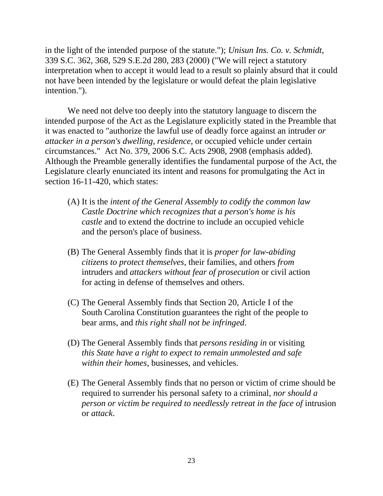in the light of the intended purpose of the statute."); *Unisun Ins. Co. v. Schmidt*, 339 S.C. 362, 368, 529 S.E.2d 280, 283 (2000) ("We will reject a statutory interpretation when to accept it would lead to a result so plainly absurd that it could not have been intended by the legislature or would defeat the plain legislative intention.").

We need not delve too deeply into the statutory language to discern the intended purpose of the Act as the Legislature explicitly stated in the Preamble that it was enacted to "authorize the lawful use of deadly force against an intruder *or attacker in a person's dwelling, residence*, or occupied vehicle under certain circumstances." Act No. 379, 2006 S.C. Acts 2908, 2908 (emphasis added). Although the Preamble generally identifies the fundamental purpose of the Act, the Legislature clearly enunciated its intent and reasons for promulgating the Act in section 16-11-420, which states:

- (A) It is the *intent of the General Assembly to codify the common law Castle Doctrine which recognizes that a person's home is his castle* and to extend the doctrine to include an occupied vehicle and the person's place of business.
- (B) The General Assembly finds that it is *proper for law-abiding citizens to protect themselves*, their families, and others *from*  intruders and *attackers without fear of prosecution* or civil action for acting in defense of themselves and others.
- (C) The General Assembly finds that Section 20, Article I of the South Carolina Constitution guarantees the right of the people to bear arms, and *this right shall not be infringed*.
- (D) The General Assembly finds that *persons residing in* or visiting *this State have a right to expect to remain unmolested and safe within their homes*, businesses, and vehicles.
- (E) The General Assembly finds that no person or victim of crime should be required to surrender his personal safety to a criminal, *nor should a person or victim be required to needlessly retreat in the face of* intrusion or *attack*.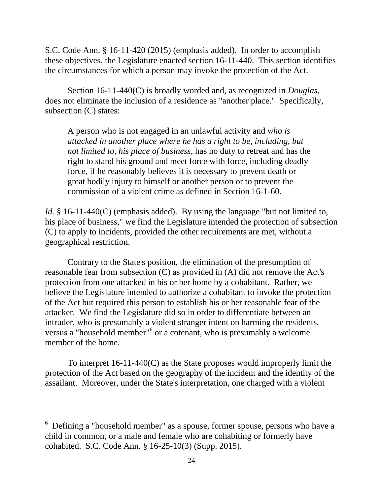S.C. Code Ann. § 16-11-420 (2015) (emphasis added). In order to accomplish these objectives, the Legislature enacted section 16-11-440. This section identifies the circumstances for which a person may invoke the protection of the Act.

subsection (C) states: Section 16-11-440(C) is broadly worded and, as recognized in *Douglas*, does not eliminate the inclusion of a residence as "another place." Specifically,

A person who is not engaged in an unlawful activity and *who is attacked in another place where he has a right to be, including, but not limited to, his place of business*, has no duty to retreat and has the right to stand his ground and meet force with force, including deadly force, if he reasonably believes it is necessary to prevent death or great bodily injury to himself or another person or to prevent the commission of a violent crime as defined in Section 16-1-60.

*Id.* § 16-11-440(C) (emphasis added). By using the language "but not limited to, his place of business," we find the Legislature intended the protection of subsection (C) to apply to incidents, provided the other requirements are met, without a geographical restriction.

Contrary to the State's position, the elimination of the presumption of reasonable fear from subsection (C) as provided in (A) did not remove the Act's protection from one attacked in his or her home by a cohabitant. Rather, we believe the Legislature intended to authorize a cohabitant to invoke the protection of the Act but required this person to establish his or her reasonable fear of the attacker. We find the Legislature did so in order to differentiate between an intruder, who is presumably a violent stranger intent on harming the residents, versus a "household member"<sup>6</sup> or a cotenant, who is presumably a welcome member of the home.

To interpret 16-11-440(C) as the State proposes would improperly limit the protection of the Act based on the geography of the incident and the identity of the assailant. Moreover, under the State's interpretation, one charged with a violent

 $\overline{a}$ 

<sup>6</sup> Defining a "household member" as a spouse, former spouse, persons who have a child in common, or a male and female who are cohabiting or formerly have cohabited. S.C. Code Ann. § 16-25-10(3) (Supp. 2015).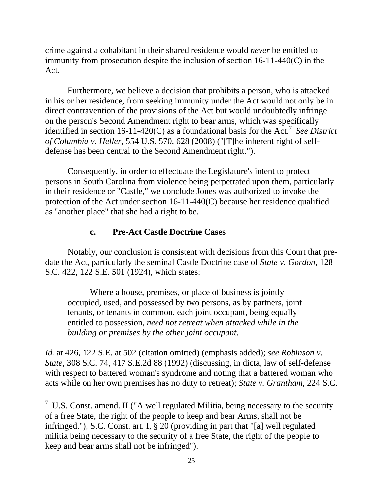crime against a cohabitant in their shared residence would *never* be entitled to immunity from prosecution despite the inclusion of section 16-11-440(C) in the Act.

identified in section 16-11-420 $(C)$  as a foundational basis for the Act.<sup>7</sup> See District Furthermore, we believe a decision that prohibits a person, who is attacked in his or her residence, from seeking immunity under the Act would not only be in direct contravention of the provisions of the Act but would undoubtedly infringe on the person's Second Amendment right to bear arms, which was specifically *of Columbia v. Heller*, 554 U.S. 570, 628 (2008) ("[T]he inherent right of selfdefense has been central to the Second Amendment right.").

Consequently, in order to effectuate the Legislature's intent to protect persons in South Carolina from violence being perpetrated upon them, particularly in their residence or "Castle," we conclude Jones was authorized to invoke the protection of the Act under section 16-11-440(C) because her residence qualified as "another place" that she had a right to be.

# **c. Pre-Act Castle Doctrine Cases**

 $\overline{a}$ 

Notably, our conclusion is consistent with decisions from this Court that predate the Act, particularly the seminal Castle Doctrine case of *State v. Gordon*, 128 S.C. 422, 122 S.E. 501 (1924), which states:

Where a house, premises, or place of business is jointly occupied, used, and possessed by two persons, as by partners, joint tenants, or tenants in common, each joint occupant, being equally entitled to possession, *need not retreat when attacked while in the building or premises by the other joint occupant*.

*Id.* at 426, 122 S.E. at 502 (citation omitted) (emphasis added); *see Robinson v. State*, 308 S.C. 74, 417 S.E.2d 88 (1992) (discussing, in dicta, law of self-defense with respect to battered woman's syndrome and noting that a battered woman who acts while on her own premises has no duty to retreat); *State v. Grantham*, 224 S.C.

 $\frac{7}{1}$  U.S. Const. amend. II ("A well regulated Militia, being necessary to the security of a free State, the right of the people to keep and bear Arms, shall not be infringed."); S.C. Const. art. I, § 20 (providing in part that "[a] well regulated militia being necessary to the security of a free State, the right of the people to keep and bear arms shall not be infringed").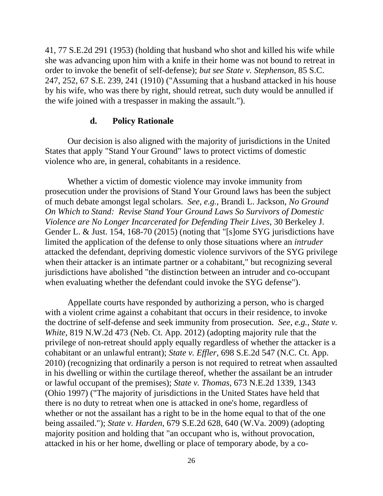41, 77 S.E.2d 291 (1953) (holding that husband who shot and killed his wife while she was advancing upon him with a knife in their home was not bound to retreat in order to invoke the benefit of self-defense); *but see State v. Stephenson*, 85 S.C. 247, 252, 67 S.E. 239, 241 (1910) ("Assuming that a husband attacked in his house by his wife, who was there by right, should retreat, such duty would be annulled if the wife joined with a trespasser in making the assault.").

## **d. Policy Rationale**

Our decision is also aligned with the majority of jurisdictions in the United States that apply "Stand Your Ground" laws to protect victims of domestic violence who are, in general, cohabitants in a residence.

Whether a victim of domestic violence may invoke immunity from prosecution under the provisions of Stand Your Ground laws has been the subject of much debate amongst legal scholars. *See, e.g.*, Brandi L. Jackson, *No Ground On Which to Stand: Revise Stand Your Ground Laws So Survivors of Domestic Violence are No Longer Incarcerated for Defending Their Lives*, 30 Berkeley J. Gender L. & Just. 154, 168-70 (2015) (noting that "[s]ome SYG jurisdictions have limited the application of the defense to only those situations where an *intruder*  attacked the defendant, depriving domestic violence survivors of the SYG privilege when their attacker is an intimate partner or a cohabitant," but recognizing several jurisdictions have abolished "the distinction between an intruder and co-occupant when evaluating whether the defendant could invoke the SYG defense").

Appellate courts have responded by authorizing a person, who is charged with a violent crime against a cohabitant that occurs in their residence, to invoke the doctrine of self-defense and seek immunity from prosecution. *See, e.g., State v. White*, 819 N.W.2d 473 (Neb. Ct. App. 2012) (adopting majority rule that the privilege of non-retreat should apply equally regardless of whether the attacker is a cohabitant or an unlawful entrant); *State v. Effler*, 698 S.E.2d 547 (N.C. Ct. App. 2010) (recognizing that ordinarily a person is not required to retreat when assaulted in his dwelling or within the curtilage thereof, whether the assailant be an intruder or lawful occupant of the premises); *State v. Thomas*, 673 N.E.2d 1339, 1343 (Ohio 1997) ("The majority of jurisdictions in the United States have held that there is no duty to retreat when one is attacked in one's home, regardless of whether or not the assailant has a right to be in the home equal to that of the one being assailed."); *State v. Harden*, 679 S.E.2d 628, 640 (W.Va. 2009) (adopting majority position and holding that "an occupant who is, without provocation, attacked in his or her home, dwelling or place of temporary abode, by a co-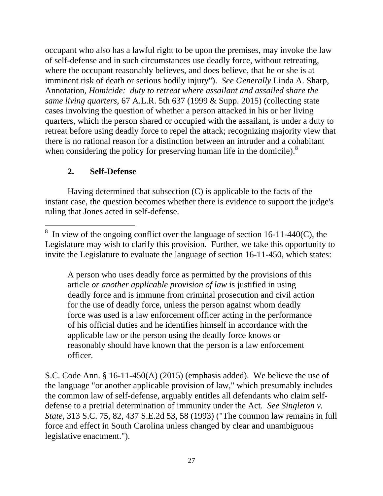occupant who also has a lawful right to be upon the premises, may invoke the law of self-defense and in such circumstances use deadly force, without retreating, where the occupant reasonably believes, and does believe, that he or she is at imminent risk of death or serious bodily injury"). *See Generally* Linda A. Sharp, Annotation, *Homicide: duty to retreat where assailant and assailed share the same living quarters*, 67 A.L.R. 5th 637 (1999 & Supp. 2015) (collecting state cases involving the question of whether a person attacked in his or her living quarters, which the person shared or occupied with the assailant, is under a duty to retreat before using deadly force to repel the attack; recognizing majority view that there is no rational reason for a distinction between an intruder and a cohabitant when considering the policy for preserving human life in the domicile).<sup>8</sup>

# **2. Self-Defense**

Having determined that subsection (C) is applicable to the facts of the instant case, the question becomes whether there is evidence to support the judge's ruling that Jones acted in self-defense.

A person who uses deadly force as permitted by the provisions of this article *or another applicable provision of law* is justified in using deadly force and is immune from criminal prosecution and civil action for the use of deadly force, unless the person against whom deadly force was used is a law enforcement officer acting in the performance of his official duties and he identifies himself in accordance with the applicable law or the person using the deadly force knows or reasonably should have known that the person is a law enforcement officer.

S.C. Code Ann. § 16-11-450(A) (2015) (emphasis added). We believe the use of the language "or another applicable provision of law," which presumably includes the common law of self-defense, arguably entitles all defendants who claim selfdefense to a pretrial determination of immunity under the Act. *See Singleton v. State*, 313 S.C. 75, 82, 437 S.E.2d 53, 58 (1993) ("The common law remains in full force and effect in South Carolina unless changed by clear and unambiguous legislative enactment.").

 $\overline{a}$ 8 In view of the ongoing conflict over the language of section 16-11-440(C), the Legislature may wish to clarify this provision. Further, we take this opportunity to invite the Legislature to evaluate the language of section 16-11-450, which states: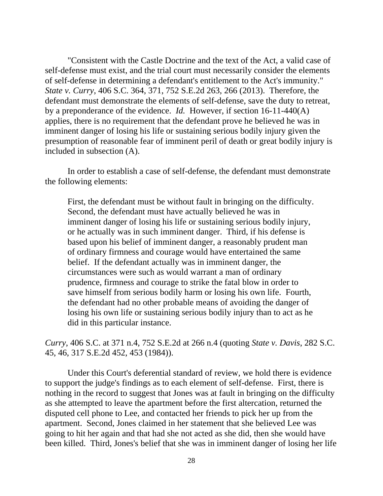"Consistent with the Castle Doctrine and the text of the Act, a valid case of self-defense must exist, and the trial court must necessarily consider the elements of self-defense in determining a defendant's entitlement to the Act's immunity." *State v. Curry*, 406 S.C. 364, 371, 752 S.E.2d 263, 266 (2013). Therefore, the defendant must demonstrate the elements of self-defense, save the duty to retreat, by a preponderance of the evidence. *Id.* However, if section 16-11-440(A) applies, there is no requirement that the defendant prove he believed he was in imminent danger of losing his life or sustaining serious bodily injury given the presumption of reasonable fear of imminent peril of death or great bodily injury is included in subsection (A).

In order to establish a case of self-defense, the defendant must demonstrate the following elements:

First, the defendant must be without fault in bringing on the difficulty. Second, the defendant must have actually believed he was in imminent danger of losing his life or sustaining serious bodily injury, or he actually was in such imminent danger. Third, if his defense is based upon his belief of imminent danger, a reasonably prudent man of ordinary firmness and courage would have entertained the same belief. If the defendant actually was in imminent danger, the circumstances were such as would warrant a man of ordinary prudence, firmness and courage to strike the fatal blow in order to save himself from serious bodily harm or losing his own life. Fourth, the defendant had no other probable means of avoiding the danger of losing his own life or sustaining serious bodily injury than to act as he did in this particular instance.

*Curry*, 406 S.C. at 371 n.4, 752 S.E.2d at 266 n.4 (quoting *State v. Davis*, 282 S.C. 45, 46, 317 S.E.2d 452, 453 (1984)).

Under this Court's deferential standard of review, we hold there is evidence to support the judge's findings as to each element of self-defense. First, there is nothing in the record to suggest that Jones was at fault in bringing on the difficulty as she attempted to leave the apartment before the first altercation, returned the disputed cell phone to Lee, and contacted her friends to pick her up from the apartment. Second, Jones claimed in her statement that she believed Lee was going to hit her again and that had she not acted as she did, then she would have been killed. Third, Jones's belief that she was in imminent danger of losing her life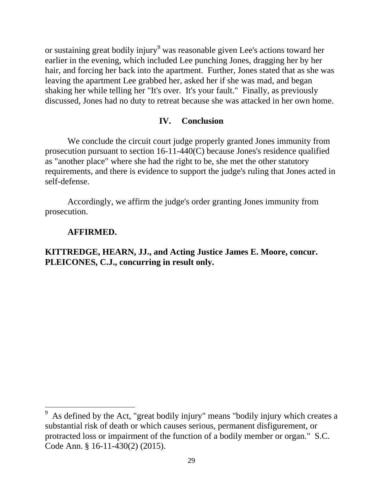or sustaining great bodily injury<sup>9</sup> was reasonable given Lee's actions toward her earlier in the evening, which included Lee punching Jones, dragging her by her hair, and forcing her back into the apartment. Further, Jones stated that as she was leaving the apartment Lee grabbed her, asked her if she was mad, and began shaking her while telling her "It's over. It's your fault." Finally, as previously discussed, Jones had no duty to retreat because she was attacked in her own home.

#### **IV. Conclusion**

We conclude the circuit court judge properly granted Jones immunity from prosecution pursuant to section 16-11-440(C) because Jones's residence qualified as "another place" where she had the right to be, she met the other statutory requirements, and there is evidence to support the judge's ruling that Jones acted in self-defense.

Accordingly, we affirm the judge's order granting Jones immunity from prosecution.

#### **AFFIRMED.**

 $\overline{a}$ 

## **KITTREDGE, HEARN, JJ., and Acting Justice James E. Moore, concur. PLEICONES, C.J., concurring in result only.**

<sup>9</sup> As defined by the Act, "great bodily injury" means "bodily injury which creates a substantial risk of death or which causes serious, permanent disfigurement, or protracted loss or impairment of the function of a bodily member or organ." S.C. Code Ann. § 16-11-430(2) (2015).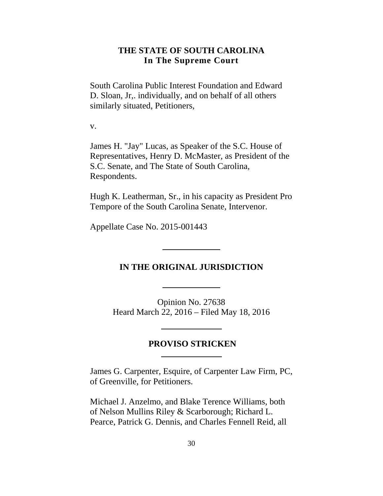## **THE STATE OF SOUTH CAROLINA In The Supreme Court**

<span id="page-29-0"></span>South Carolina Public Interest Foundation and Edward D. Sloan, Jr,. individually, and on behalf of all others similarly situated, Petitioners,

v.

James H. "Jay" Lucas, as Speaker of the S.C. House of Representatives, Henry D. McMaster, as President of the S.C. Senate, and The State of South Carolina, Respondents.

Hugh K. Leatherman, Sr., in his capacity as President Pro Tempore of the South Carolina Senate, Intervenor.

Appellate Case No. 2015-001443

#### **IN THE ORIGINAL JURISDICTION**

Opinion No. 27638 Heard March 22, 2016 – Filed May 18, 2016

# **PROVISO STRICKEN**

James G. Carpenter, Esquire, of Carpenter Law Firm, PC, of Greenville, for Petitioners.

Michael J. Anzelmo, and Blake Terence Williams, both of Nelson Mullins Riley & Scarborough; Richard L. Pearce, Patrick G. Dennis, and Charles Fennell Reid, all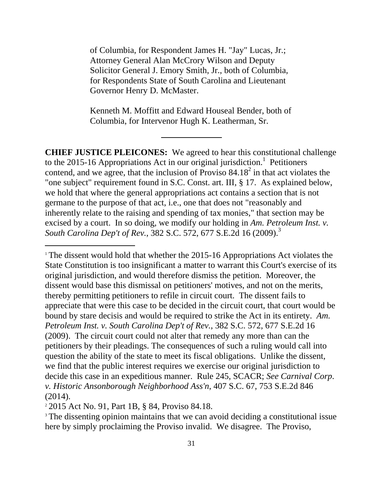of Columbia, for Respondent James H. "Jay" Lucas, Jr.; Attorney General Alan McCrory Wilson and Deputy Solicitor General J. Emory Smith, Jr., both of Columbia, for Respondents State of South Carolina and Lieutenant Governor Henry D. McMaster.

Kenneth M. Moffitt and Edward Houseal Bender, both of Columbia, for Intervenor Hugh K. Leatherman, Sr.

**CHIEF JUSTICE PLEICONES:** We agreed to hear this constitutional challenge to the 2015-16 Appropriations Act in our original jurisdiction.<sup>1</sup> Petitioners contend, and we agree, that the inclusion of Proviso  $84.18^2$  in that act violates the "one subject" requirement found in S.C. Const. art. III, § 17. As explained below, we hold that where the general appropriations act contains a section that is not germane to the purpose of that act, i.e., one that does not "reasonably and inherently relate to the raising and spending of tax monies," that section may be excised by a court. In so doing, we modify our holding in *Am. Petroleum Inst. v. South Carolina Dep't of Rev.*, 382 S.C. 572, 677 S.E.2d 16 (2009).<sup>3</sup>

<sup>1</sup> The dissent would hold that whether the 2015-16 Appropriations Act violates the State Constitution is too insignificant a matter to warrant this Court's exercise of its original jurisdiction, and would therefore dismiss the petition. Moreover, the dissent would base this dismissal on petitioners' motives, and not on the merits, thereby permitting petitioners to refile in circuit court. The dissent fails to appreciate that were this case to be decided in the circuit court, that court would be bound by stare decisis and would be required to strike the Act in its entirety. *Am. Petroleum Inst. v. South Carolina Dep't of Rev.*, 382 S.C. 572, 677 S.E.2d 16 (2009). The circuit court could not alter that remedy any more than can the petitioners by their pleadings. The consequences of such a ruling would call into question the ability of the state to meet its fiscal obligations. Unlike the dissent, we find that the public interest requires we exercise our original jurisdiction to decide this case in an expeditious manner. Rule 245, SCACR; *See Carnival Corp*. *v. Historic Ansonborough Neighborhood Ass'n*, 407 S.C. 67, 753 S.E.2d 846 (2014).

2 2015 Act No. 91, Part 1B, § 84, Proviso 84.18.

 $\overline{a}$ 

<sup>3</sup> The dissenting opinion maintains that we can avoid deciding a constitutional issue here by simply proclaiming the Proviso invalid. We disagree. The Proviso,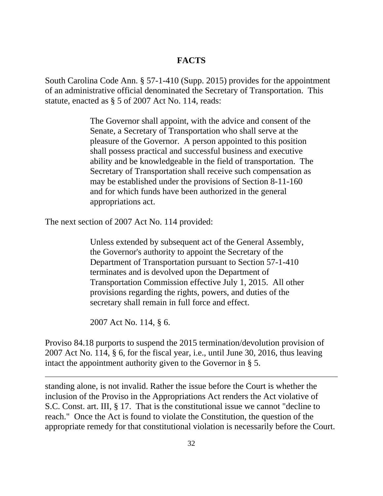## **FACTS**

South Carolina Code Ann. § 57-1-410 (Supp. 2015) provides for the appointment of an administrative official denominated the Secretary of Transportation. This statute, enacted as § 5 of 2007 Act No. 114, reads:

> The Governor shall appoint, with the advice and consent of the Senate, a Secretary of Transportation who shall serve at the pleasure of the Governor. A person appointed to this position shall possess practical and successful business and executive ability and be knowledgeable in the field of transportation. The Secretary of Transportation shall receive such compensation as may be established under the provisions of Section 8-11-160 and for which funds have been authorized in the general appropriations act.

The next section of 2007 Act No. 114 provided:

Unless extended by subsequent act of the General Assembly, the Governor's authority to appoint the Secretary of the Department of Transportation pursuant to Section 57-1-410 terminates and is devolved upon the Department of Transportation Commission effective July 1, 2015. All other provisions regarding the rights, powers, and duties of the secretary shall remain in full force and effect.

2007 Act No. 114, § 6.

 $\overline{a}$ 

Proviso 84.18 purports to suspend the 2015 termination/devolution provision of 2007 Act No. 114, § 6, for the fiscal year, i.e., until June 30, 2016, thus leaving intact the appointment authority given to the Governor in § 5.

standing alone, is not invalid. Rather the issue before the Court is whether the inclusion of the Proviso in the Appropriations Act renders the Act violative of S.C. Const. art. III, § 17. That is the constitutional issue we cannot "decline to reach." Once the Act is found to violate the Constitution, the question of the appropriate remedy for that constitutional violation is necessarily before the Court.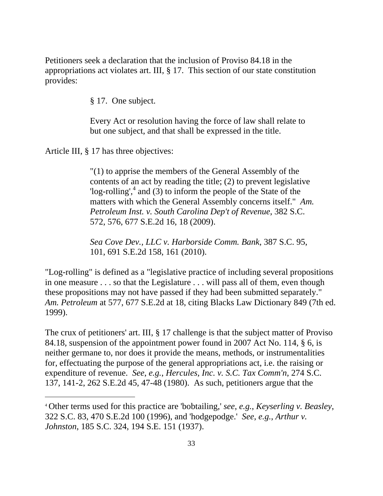Petitioners seek a declaration that the inclusion of Proviso 84.18 in the appropriations act violates art. III, § 17. This section of our state constitution provides:

§ 17. One subject.

Every Act or resolution having the force of law shall relate to but one subject, and that shall be expressed in the title.

Article III, § 17 has three objectives:

 $\overline{a}$ 

"(1) to apprise the members of the General Assembly of the contents of an act by reading the title; (2) to prevent legislative  $\log$ -rolling',  $4$  and (3) to inform the people of the State of the matters with which the General Assembly concerns itself." *Am. Petroleum Inst. v. South Carolina Dep't of Revenue*, 382 S.C. 572, 576, 677 S.E.2d 16, 18 (2009).

*Sea Cove Dev., LLC v. Harborside Comm. Bank*, 387 S.C. 95, 101, 691 S.E.2d 158, 161 (2010).

"Log-rolling" is defined as a "legislative practice of including several propositions in one measure . . . so that the Legislature . . . will pass all of them, even though these propositions may not have passed if they had been submitted separately." *Am. Petroleum* at 577, 677 S.E.2d at 18, citing Blacks Law Dictionary 849 (7th ed. 1999).

 137, 141-2, 262 S.E.2d 45, 47-48 (1980). As such, petitioners argue that the The crux of petitioners' art. III, § 17 challenge is that the subject matter of Proviso 84.18, suspension of the appointment power found in 2007 Act No. 114, § 6, is neither germane to, nor does it provide the means, methods, or instrumentalities for, effectuating the purpose of the general appropriations act, i.e. the raising or expenditure of revenue. *See*, *e.g.*, *Hercules, Inc. v. S.C. Tax Comm'n*, 274 S.C.

 322 S.C. 83, 470 S.E.2d 100 (1996), and 'hodgepodge.' *See*, *e.g.*, *Arthur v.*  4 Other terms used for this practice are 'bobtailing,' *see*, *e.g.*, *Keyserling v. Beasley*, *Johnston*, 185 S.C. 324, 194 S.E. 151 (1937).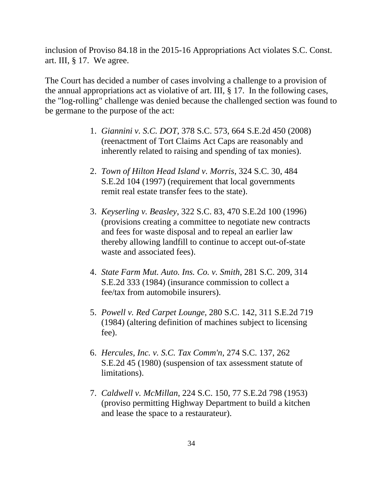inclusion of Proviso 84.18 in the 2015-16 Appropriations Act violates S.C. Const. art. III, § 17. We agree.

The Court has decided a number of cases involving a challenge to a provision of the annual appropriations act as violative of art. III, § 17. In the following cases, the "log-rolling" challenge was denied because the challenged section was found to be germane to the purpose of the act:

- 1. *Giannini v. S.C. DOT*, 378 S.C. 573, 664 S.E.2d 450 (2008) (reenactment of Tort Claims Act Caps are reasonably and inherently related to raising and spending of tax monies).
- 2. *Town of Hilton Head Island v. Morris*, 324 S.C. 30, 484 S.E.2d 104 (1997) (requirement that local governments remit real estate transfer fees to the state).
- 3. *Keyserling v. Beasley*, 322 S.C. 83, 470 S.E.2d 100 (1996) (provisions creating a committee to negotiate new contracts and fees for waste disposal and to repeal an earlier law thereby allowing landfill to continue to accept out-of-state waste and associated fees).
- 4. *State Farm Mut. Auto. Ins. Co. v. Smith*, 281 S.C. 209, 314 S.E.2d 333 (1984) (insurance commission to collect a fee/tax from automobile insurers).
- 5. *Powell v. Red Carpet Lounge*, 280 S.C. 142, 311 S.E.2d 719 (1984) (altering definition of machines subject to licensing fee).
- 6. *Hercules, Inc. v. S.C. Tax Comm'n*, 274 S.C. 137, 262 S.E.2d 45 (1980) (suspension of tax assessment statute of limitations).
- 7. *Caldwell v. McMillan*, 224 S.C. 150, 77 S.E.2d 798 (1953) (proviso permitting Highway Department to build a kitchen and lease the space to a restaurateur).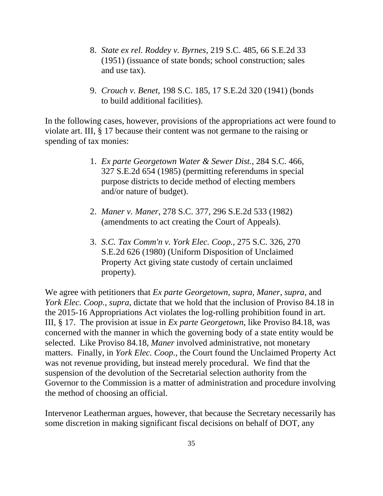- 8. *State ex rel. Roddey v. Byrnes*, 219 S.C. 485, 66 S.E.2d 33 (1951) (issuance of state bonds; school construction; sales and use tax).
- 9. *Crouch v. Benet*, 198 S.C. 185, 17 S.E.2d 320 (1941) (bonds to build additional facilities).

In the following cases, however, provisions of the appropriations act were found to violate art. III, § 17 because their content was not germane to the raising or spending of tax monies:

- 1. *Ex parte Georgetown Water & Sewer Dist.*, 284 S.C. 466, 327 S.E.2d 654 (1985) (permitting referendums in special purpose districts to decide method of electing members and/or nature of budget).
- 2. *Maner v. Maner*, 278 S.C. 377, 296 S.E.2d 533 (1982) (amendments to act creating the Court of Appeals).
- 3. *S.C. Tax Comm'n v. York Elec. Coop.*, 275 S.C. 326, 270 S.E.2d 626 (1980) (Uniform Disposition of Unclaimed Property Act giving state custody of certain unclaimed property).

We agree with petitioners that *Ex parte Georgetown*, *supra*, *Maner*, *supra*, and *York Elec. Coop.*, *supra*, dictate that we hold that the inclusion of Proviso 84.18 in the 2015-16 Appropriations Act violates the log-rolling prohibition found in art. III, § 17. The provision at issue in *Ex parte Georgetown*, like Proviso 84.18, was concerned with the manner in which the governing body of a state entity would be selected. Like Proviso 84.18, *Maner* involved administrative, not monetary matters. Finally, in *York Elec. Coop.*, the Court found the Unclaimed Property Act was not revenue providing, but instead merely procedural. We find that the suspension of the devolution of the Secretarial selection authority from the Governor to the Commission is a matter of administration and procedure involving the method of choosing an official.

Intervenor Leatherman argues, however, that because the Secretary necessarily has some discretion in making significant fiscal decisions on behalf of DOT, any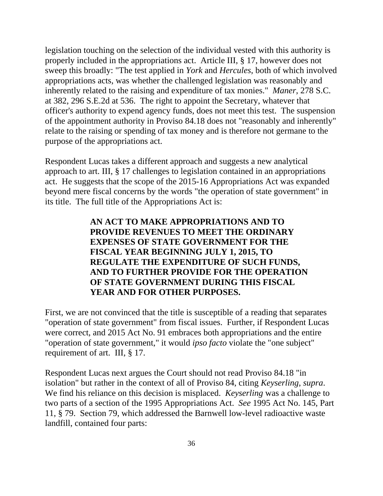legislation touching on the selection of the individual vested with this authority is properly included in the appropriations act. Article III, § 17, however does not sweep this broadly: "The test applied in *York* and *Hercules*, both of which involved appropriations acts, was whether the challenged legislation was reasonably and inherently related to the raising and expenditure of tax monies." *Maner*, 278 S.C. at 382, 296 S.E.2d at 536. The right to appoint the Secretary, whatever that officer's authority to expend agency funds, does not meet this test. The suspension of the appointment authority in Proviso 84.18 does not "reasonably and inherently" relate to the raising or spending of tax money and is therefore not germane to the purpose of the appropriations act.

Respondent Lucas takes a different approach and suggests a new analytical approach to art. III, § 17 challenges to legislation contained in an appropriations act. He suggests that the scope of the 2015-16 Appropriations Act was expanded beyond mere fiscal concerns by the words "the operation of state government" in its title. The full title of the Appropriations Act is:

> **AN ACT TO MAKE APPROPRIATIONS AND TO PROVIDE REVENUES TO MEET THE ORDINARY EXPENSES OF STATE GOVERNMENT FOR THE FISCAL YEAR BEGINNING JULY 1, 2015, TO REGULATE THE EXPENDITURE OF SUCH FUNDS, AND TO FURTHER PROVIDE FOR THE OPERATION OF STATE GOVERNMENT DURING THIS FISCAL YEAR AND FOR OTHER PURPOSES.**

First, we are not convinced that the title is susceptible of a reading that separates "operation of state government" from fiscal issues. Further, if Respondent Lucas were correct, and 2015 Act No. 91 embraces both appropriations and the entire "operation of state government," it would *ipso facto* violate the "one subject" requirement of art. III, § 17.

Respondent Lucas next argues the Court should not read Proviso 84.18 "in isolation" but rather in the context of all of Proviso 84, citing *Keyserling*, *supra*. We find his reliance on this decision is misplaced. *Keyserling* was a challenge to two parts of a section of the 1995 Appropriations Act. *See* 1995 Act No. 145, Part 11, § 79. Section 79, which addressed the Barnwell low-level radioactive waste landfill, contained four parts: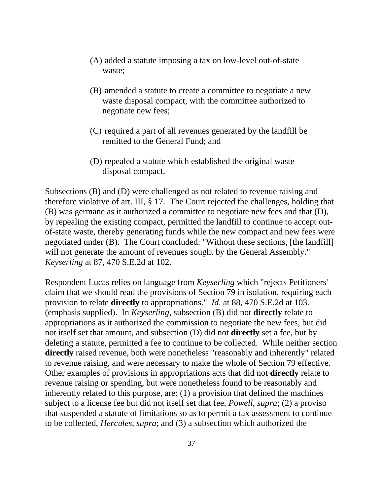- (A) added a statute imposing a tax on low-level out-of-state waste;
- (B) amended a statute to create a committee to negotiate a new waste disposal compact, with the committee authorized to negotiate new fees;
- (C) required a part of all revenues generated by the landfill be remitted to the General Fund; and
- (D) repealed a statute which established the original waste disposal compact.

Subsections (B) and (D) were challenged as not related to revenue raising and therefore violative of art. III, § 17. The Court rejected the challenges, holding that (B) was germane as it authorized a committee to negotiate new fees and that (D), by repealing the existing compact, permitted the landfill to continue to accept outof-state waste, thereby generating funds while the new compact and new fees were negotiated under (B). The Court concluded: "Without these sections, [the landfill] will not generate the amount of revenues sought by the General Assembly." *Keyserling* at 87, 470 S.E.2d at 102.

Respondent Lucas relies on language from *Keyserling* which "rejects Petitioners' claim that we should read the provisions of Section 79 in isolation, requiring each provision to relate **directly** to appropriations." *Id*. at 88, 470 S.E.2d at 103. (emphasis supplied). In *Keyserling*, subsection (B) did not **directly** relate to appropriations as it authorized the commission to negotiate the new fees, but did not itself set that amount, and subsection (D) did not **directly** set a fee, but by deleting a statute, permitted a fee to continue to be collected. While neither section **directly** raised revenue, both were nonetheless "reasonably and inherently" related to revenue raising, and were necessary to make the whole of Section 79 effective. Other examples of provisions in appropriations acts that did not **directly** relate to revenue raising or spending, but were nonetheless found to be reasonably and inherently related to this purpose, are: (1) a provision that defined the machines subject to a license fee but did not itself set that fee, *Powell*, *supra*; (2) a proviso that suspended a statute of limitations so as to permit a tax assessment to continue to be collected, *Hercules*, *supra*; and (3) a subsection which authorized the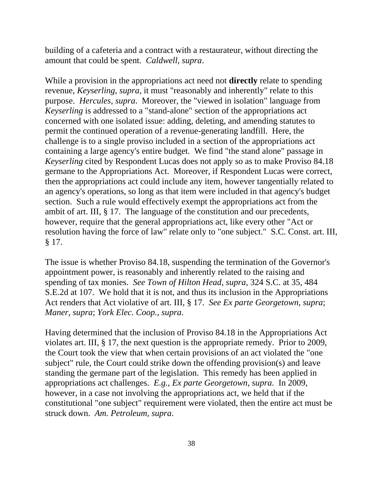building of a cafeteria and a contract with a restaurateur, without directing the amount that could be spent. *Caldwell*, *supra*.

While a provision in the appropriations act need not **directly** relate to spending revenue, *Keyserling*, *supra*, it must "reasonably and inherently" relate to this purpose. *Hercules*, *supra*. Moreover, the "viewed in isolation" language from *Keyserling* is addressed to a "stand-alone" section of the appropriations act concerned with one isolated issue: adding, deleting, and amending statutes to permit the continued operation of a revenue-generating landfill. Here, the challenge is to a single proviso included in a section of the appropriations act containing a large agency's entire budget. We find "the stand alone" passage in *Keyserling* cited by Respondent Lucas does not apply so as to make Proviso 84.18 germane to the Appropriations Act. Moreover, if Respondent Lucas were correct, then the appropriations act could include any item, however tangentially related to an agency's operations, so long as that item were included in that agency's budget section. Such a rule would effectively exempt the appropriations act from the ambit of art. III, § 17. The language of the constitution and our precedents, however, require that the general appropriations act, like every other "Act or resolution having the force of law" relate only to "one subject." S.C. Const. art. III, § 17.

The issue is whether Proviso 84.18, suspending the termination of the Governor's appointment power, is reasonably and inherently related to the raising and spending of tax monies. *See Town of Hilton Head*, *supra*, 324 S.C. at 35, 484 S.E.2d at 107. We hold that it is not, and thus its inclusion in the Appropriations Act renders that Act violative of art. III, § 17. *See Ex parte Georgetown*, *supra*; *Maner*, *supra*; *York Elec. Coop.*, *supra*.

Having determined that the inclusion of Proviso 84.18 in the Appropriations Act violates art. III, § 17, the next question is the appropriate remedy. Prior to 2009, the Court took the view that when certain provisions of an act violated the "one subject" rule, the Court could strike down the offending provision(s) and leave standing the germane part of the legislation. This remedy has been applied in appropriations act challenges. *E.g.*, *Ex parte Georgetown*, *supra*. In 2009, however, in a case not involving the appropriations act, we held that if the constitutional "one subject" requirement were violated, then the entire act must be struck down. *Am. Petroleum*, *supra*.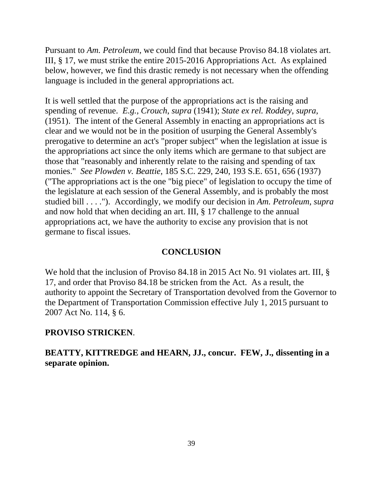Pursuant to *Am. Petroleum*, we could find that because Proviso 84.18 violates art. III, § 17, we must strike the entire 2015-2016 Appropriations Act. As explained below, however, we find this drastic remedy is not necessary when the offending language is included in the general appropriations act.

It is well settled that the purpose of the appropriations act is the raising and spending of revenue. *E.g.*, *Crouch*, *supra* (1941); *State ex rel. Roddey*, *supra*, (1951). The intent of the General Assembly in enacting an appropriations act is clear and we would not be in the position of usurping the General Assembly's prerogative to determine an act's "proper subject" when the legislation at issue is the appropriations act since the only items which are germane to that subject are those that "reasonably and inherently relate to the raising and spending of tax monies." *See Plowden v. Beattie*, 185 S.C. 229, 240, 193 S.E. 651, 656 (1937) ("The appropriations act is the one "big piece" of legislation to occupy the time of the legislature at each session of the General Assembly, and is probably the most studied bill . . . ."). Accordingly, we modify our decision in *Am. Petroleum*, *supra*  and now hold that when deciding an art. III, § 17 challenge to the annual appropriations act, we have the authority to excise any provision that is not germane to fiscal issues.

#### **CONCLUSION**

We hold that the inclusion of Proviso 84.18 in 2015 Act No. 91 violates art. III, § 17, and order that Proviso 84.18 be stricken from the Act. As a result, the authority to appoint the Secretary of Transportation devolved from the Governor to the Department of Transportation Commission effective July 1, 2015 pursuant to 2007 Act No. 114, § 6.

#### **PROVISO STRICKEN**.

# **separate opinion. BEATTY, KITTREDGE and HEARN, JJ., concur. FEW, J., dissenting in a**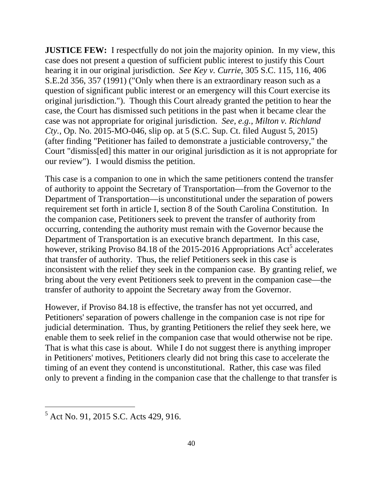**JUSTICE FEW:** I respectfully do not join the majority opinion. In my view, this case does not present a question of sufficient public interest to justify this Court hearing it in our original jurisdiction. *See Key v. Currie*, 305 S.C. 115, 116, 406 S.E.2d 356, 357 (1991) ("Only when there is an extraordinary reason such as a question of significant public interest or an emergency will this Court exercise its original jurisdiction."). Though this Court already granted the petition to hear the case, the Court has dismissed such petitions in the past when it became clear the case was not appropriate for original jurisdiction. *See, e.g.*, *Milton v. Richland Cty.*, Op. No. 2015-MO-046, slip op. at 5 (S.C. Sup. Ct. filed August 5, 2015) (after finding "Petitioner has failed to demonstrate a justiciable controversy," the Court "dismiss[ed] this matter in our original jurisdiction as it is not appropriate for our review"). I would dismiss the petition.

This case is a companion to one in which the same petitioners contend the transfer of authority to appoint the Secretary of Transportation—from the Governor to the Department of Transportation—is unconstitutional under the separation of powers requirement set forth in article I, section 8 of the South Carolina Constitution. In the companion case, Petitioners seek to prevent the transfer of authority from occurring, contending the authority must remain with the Governor because the Department of Transportation is an executive branch department. In this case, however, striking Proviso 84.18 of the 2015-2016 Appropriations  $Act<sup>5</sup>$  accelerates that transfer of authority. Thus, the relief Petitioners seek in this case is inconsistent with the relief they seek in the companion case. By granting relief, we bring about the very event Petitioners seek to prevent in the companion case—the transfer of authority to appoint the Secretary away from the Governor.

However, if Proviso 84.18 is effective, the transfer has not yet occurred, and Petitioners' separation of powers challenge in the companion case is not ripe for judicial determination. Thus, by granting Petitioners the relief they seek here, we enable them to seek relief in the companion case that would otherwise not be ripe. That is what this case is about. While I do not suggest there is anything improper in Petitioners' motives, Petitioners clearly did not bring this case to accelerate the timing of an event they contend is unconstitutional. Rather, this case was filed only to prevent a finding in the companion case that the challenge to that transfer is

 $\overline{a}$ 

<sup>&</sup>lt;sup>5</sup> Act No. 91, 2015 S.C. Acts 429, 916.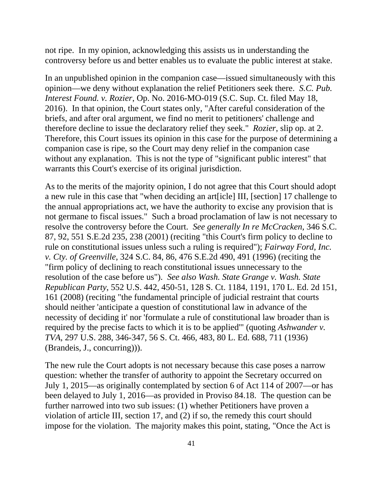not ripe. In my opinion, acknowledging this assists us in understanding the controversy before us and better enables us to evaluate the public interest at stake.

In an unpublished opinion in the companion case—issued simultaneously with this opinion—we deny without explanation the relief Petitioners seek there. *S.C. Pub. Interest Found. v. Rozier*, Op. No. 2016-MO-019 (S.C. Sup. Ct. filed May 18, 2016). In that opinion, the Court states only, "After careful consideration of the briefs, and after oral argument, we find no merit to petitioners' challenge and therefore decline to issue the declaratory relief they seek." *Rozier*, slip op. at 2. Therefore, this Court issues its opinion in this case for the purpose of determining a companion case is ripe, so the Court may deny relief in the companion case without any explanation. This is not the type of "significant public interest" that warrants this Court's exercise of its original jurisdiction.

As to the merits of the majority opinion, I do not agree that this Court should adopt a new rule in this case that "when deciding an art[icle] III, [section] 17 challenge to the annual appropriations act, we have the authority to excise any provision that is not germane to fiscal issues." Such a broad proclamation of law is not necessary to resolve the controversy before the Court. *See generally In re McCracken*, 346 S.C. 87, 92, 551 S.E.2d 235, 238 (2001) (reciting "this Court's firm policy to decline to rule on constitutional issues unless such a ruling is required"); *Fairway Ford, Inc. v. Cty. of Greenville*, 324 S.C. 84, 86, 476 S.E.2d 490, 491 (1996) (reciting the "firm policy of declining to reach constitutional issues unnecessary to the resolution of the case before us"). *See also Wash. State Grange v. Wash. State Republican Party*, 552 U.S. 442, 450-51, 128 S. Ct. 1184, 1191, 170 L. Ed. 2d 151, 161 (2008) (reciting "the fundamental principle of judicial restraint that courts should neither 'anticipate a question of constitutional law in advance of the necessity of deciding it' nor 'formulate a rule of constitutional law broader than is required by the precise facts to which it is to be applied'" (quoting *Ashwander v. TVA*, 297 U.S. 288, 346-347, 56 S. Ct. 466, 483, 80 L. Ed. 688, 711 (1936) (Brandeis, J., concurring))).

The new rule the Court adopts is not necessary because this case poses a narrow question: whether the transfer of authority to appoint the Secretary occurred on July 1, 2015—as originally contemplated by section 6 of Act 114 of 2007—or has been delayed to July 1, 2016—as provided in Proviso 84.18. The question can be further narrowed into two sub issues: (1) whether Petitioners have proven a violation of article III, section 17, and (2) if so, the remedy this court should impose for the violation. The majority makes this point, stating, "Once the Act is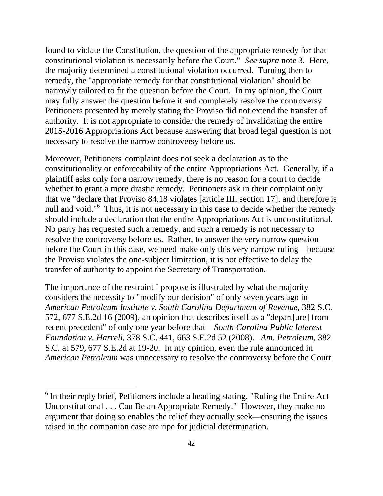found to violate the Constitution, the question of the appropriate remedy for that constitutional violation is necessarily before the Court." *See supra* note 3. Here, the majority determined a constitutional violation occurred. Turning then to remedy, the "appropriate remedy for that constitutional violation" should be narrowly tailored to fit the question before the Court. In my opinion, the Court may fully answer the question before it and completely resolve the controversy Petitioners presented by merely stating the Proviso did not extend the transfer of authority. It is not appropriate to consider the remedy of invalidating the entire 2015-2016 Appropriations Act because answering that broad legal question is not necessary to resolve the narrow controversy before us.

Moreover, Petitioners' complaint does not seek a declaration as to the constitutionality or enforceability of the entire Appropriations Act. Generally, if a plaintiff asks only for a narrow remedy, there is no reason for a court to decide whether to grant a more drastic remedy. Petitioners ask in their complaint only that we "declare that Proviso 84.18 violates [article III, section 17], and therefore is null and void."<sup>6</sup> Thus, it is not necessary in this case to decide whether the remedy should include a declaration that the entire Appropriations Act is unconstitutional. No party has requested such a remedy, and such a remedy is not necessary to resolve the controversy before us. Rather, to answer the very narrow question before the Court in this case, we need make only this very narrow ruling—because the Proviso violates the one-subject limitation, it is not effective to delay the transfer of authority to appoint the Secretary of Transportation.

The importance of the restraint I propose is illustrated by what the majority considers the necessity to "modify our decision" of only seven years ago in *American Petroleum Institute v. South Carolina Department of Revenue*, 382 S.C. 572, 677 S.E.2d 16 (2009), an opinion that describes itself as a "depart[ure] from recent precedent" of only one year before that—*South Carolina Public Interest Foundation v. Harrell*, 378 S.C. 441, 663 S.E.2d 52 (2008). *Am. Petroleum*, 382 S.C. at 579, 677 S.E.2d at 19-20. In my opinion, even the rule announced in *American Petroleum* was unnecessary to resolve the controversy before the Court

 $\overline{a}$ 

 $6$  In their reply brief, Petitioners include a heading stating, "Ruling the Entire Act Unconstitutional . . . Can Be an Appropriate Remedy." However, they make no argument that doing so enables the relief they actually seek—ensuring the issues raised in the companion case are ripe for judicial determination.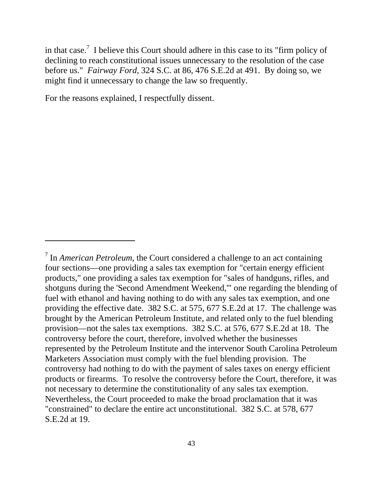in that case.<sup>7</sup> I believe this Court should adhere in this case to its "firm policy of declining to reach constitutional issues unnecessary to the resolution of the case before us." *Fairway Ford,* 324 S.C. at 86, 476 S.E.2d at 491. By doing so, we might find it unnecessary to change the law so frequently.

For the reasons explained, I respectfully dissent.

 $\overline{a}$ 

<sup>7</sup> In *American Petroleum*, the Court considered a challenge to an act containing four sections—one providing a sales tax exemption for "certain energy efficient products," one providing a sales tax exemption for "sales of handguns, rifles, and shotguns during the 'Second Amendment Weekend,'" one regarding the blending of fuel with ethanol and having nothing to do with any sales tax exemption, and one providing the effective date. 382 S.C. at 575, 677 S.E.2d at 17. The challenge was brought by the American Petroleum Institute, and related only to the fuel blending provision—not the sales tax exemptions. 382 S.C. at 576, 677 S.E.2d at 18. The controversy before the court, therefore, involved whether the businesses represented by the Petroleum Institute and the intervenor South Carolina Petroleum Marketers Association must comply with the fuel blending provision. The controversy had nothing to do with the payment of sales taxes on energy efficient products or firearms. To resolve the controversy before the Court, therefore, it was not necessary to determine the constitutionality of any sales tax exemption. Nevertheless, the Court proceeded to make the broad proclamation that it was "constrained" to declare the entire act unconstitutional. 382 S.C. at 578, 677 S.E.2d at 19.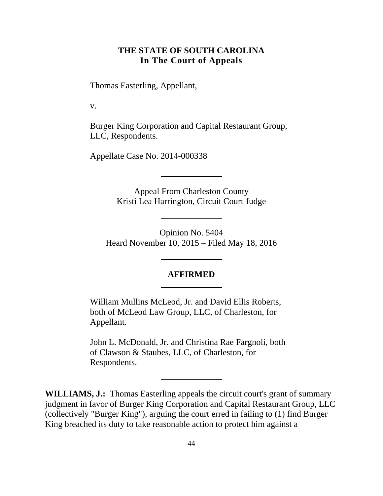# **THE STATE OF SOUTH CAROLINA In The Court of Appeals**

<span id="page-43-0"></span>Thomas Easterling, Appellant,

v.

Burger King Corporation and Capital Restaurant Group, LLC, Respondents.

Appellate Case No. 2014-000338

Appeal From Charleston County Kristi Lea Harrington, Circuit Court Judge

Opinion No. 5404 Heard November 10, 2015 – Filed May 18, 2016

#### **AFFIRMED**

William Mullins McLeod, Jr. and David Ellis Roberts, both of McLeod Law Group, LLC, of Charleston, for Appellant.

John L. McDonald, Jr. and Christina Rae Fargnoli, both of Clawson & Staubes, LLC, of Charleston, for Respondents.

**WILLIAMS, J.:** Thomas Easterling appeals the circuit court's grant of summary judgment in favor of Burger King Corporation and Capital Restaurant Group, LLC (collectively "Burger King"), arguing the court erred in failing to (1) find Burger King breached its duty to take reasonable action to protect him against a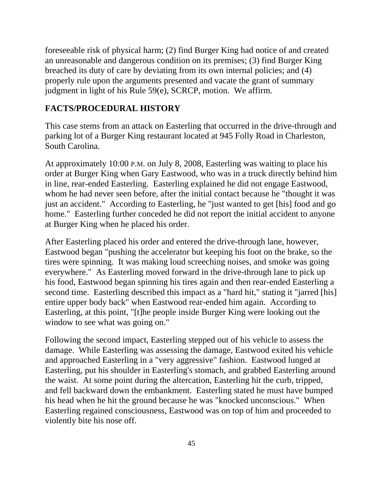foreseeable risk of physical harm; (2) find Burger King had notice of and created an unreasonable and dangerous condition on its premises; (3) find Burger King breached its duty of care by deviating from its own internal policies; and (4) properly rule upon the arguments presented and vacate the grant of summary judgment in light of his Rule 59(e), SCRCP, motion. We affirm.

#### **FACTS/PROCEDURAL HISTORY**

This case stems from an attack on Easterling that occurred in the drive-through and parking lot of a Burger King restaurant located at 945 Folly Road in Charleston, South Carolina.

At approximately 10:00 P.M. on July 8, 2008, Easterling was waiting to place his order at Burger King when Gary Eastwood, who was in a truck directly behind him in line, rear-ended Easterling. Easterling explained he did not engage Eastwood, whom he had never seen before, after the initial contact because he "thought it was just an accident." According to Easterling, he "just wanted to get [his] food and go home." Easterling further conceded he did not report the initial accident to anyone at Burger King when he placed his order.

After Easterling placed his order and entered the drive-through lane, however, Eastwood began "pushing the accelerator but keeping his foot on the brake, so the tires were spinning. It was making loud screeching noises, and smoke was going everywhere." As Easterling moved forward in the drive-through lane to pick up his food, Eastwood began spinning his tires again and then rear-ended Easterling a second time. Easterling described this impact as a "hard hit," stating it "jarred [his] entire upper body back" when Eastwood rear-ended him again. According to Easterling, at this point, "[t]he people inside Burger King were looking out the window to see what was going on."

Following the second impact, Easterling stepped out of his vehicle to assess the damage. While Easterling was assessing the damage, Eastwood exited his vehicle and approached Easterling in a "very aggressive" fashion. Eastwood lunged at Easterling, put his shoulder in Easterling's stomach, and grabbed Easterling around the waist. At some point during the altercation, Easterling hit the curb, tripped, and fell backward down the embankment. Easterling stated he must have bumped his head when he hit the ground because he was "knocked unconscious." When Easterling regained consciousness, Eastwood was on top of him and proceeded to violently bite his nose off.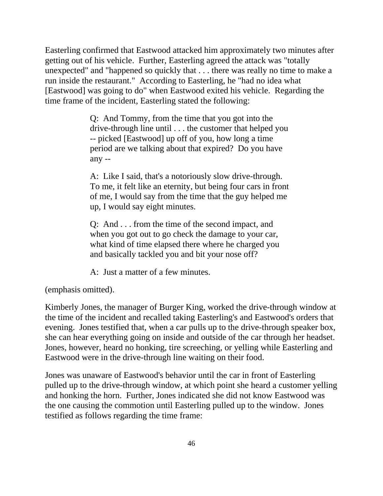Easterling confirmed that Eastwood attacked him approximately two minutes after getting out of his vehicle. Further, Easterling agreed the attack was "totally unexpected" and "happened so quickly that . . . there was really no time to make a run inside the restaurant." According to Easterling, he "had no idea what [Eastwood] was going to do" when Eastwood exited his vehicle. Regarding the time frame of the incident, Easterling stated the following:

> Q: And Tommy, from the time that you got into the drive-through line until . . . the customer that helped you -- picked [Eastwood] up off of you, how long a time period are we talking about that expired? Do you have any --

> A: Like I said, that's a notoriously slow drive-through. To me, it felt like an eternity, but being four cars in front of me, I would say from the time that the guy helped me up, I would say eight minutes.

Q: And . . . from the time of the second impact, and when you got out to go check the damage to your car, what kind of time elapsed there where he charged you and basically tackled you and bit your nose off?

A: Just a matter of a few minutes.

(emphasis omitted).

Kimberly Jones, the manager of Burger King, worked the drive-through window at the time of the incident and recalled taking Easterling's and Eastwood's orders that evening. Jones testified that, when a car pulls up to the drive-through speaker box, she can hear everything going on inside and outside of the car through her headset. Jones, however, heard no honking, tire screeching, or yelling while Easterling and Eastwood were in the drive-through line waiting on their food.

Jones was unaware of Eastwood's behavior until the car in front of Easterling pulled up to the drive-through window, at which point she heard a customer yelling and honking the horn. Further, Jones indicated she did not know Eastwood was the one causing the commotion until Easterling pulled up to the window. Jones testified as follows regarding the time frame: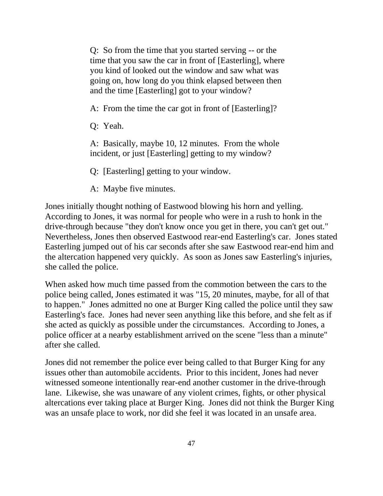Q: So from the time that you started serving -- or the time that you saw the car in front of [Easterling], where you kind of looked out the window and saw what was going on, how long do you think elapsed between then and the time [Easterling] got to your window?

A: From the time the car got in front of [Easterling]?

Q: Yeah.

A: Basically, maybe 10, 12 minutes. From the whole incident, or just [Easterling] getting to my window?

Q: [Easterling] getting to your window.

A: Maybe five minutes.

Jones initially thought nothing of Eastwood blowing his horn and yelling. According to Jones, it was normal for people who were in a rush to honk in the drive-through because "they don't know once you get in there, you can't get out." Nevertheless, Jones then observed Eastwood rear-end Easterling's car. Jones stated Easterling jumped out of his car seconds after she saw Eastwood rear-end him and the altercation happened very quickly. As soon as Jones saw Easterling's injuries, she called the police.

When asked how much time passed from the commotion between the cars to the police being called, Jones estimated it was "15, 20 minutes, maybe, for all of that to happen." Jones admitted no one at Burger King called the police until they saw Easterling's face. Jones had never seen anything like this before, and she felt as if she acted as quickly as possible under the circumstances. According to Jones, a police officer at a nearby establishment arrived on the scene "less than a minute" after she called.

Jones did not remember the police ever being called to that Burger King for any issues other than automobile accidents. Prior to this incident, Jones had never witnessed someone intentionally rear-end another customer in the drive-through lane. Likewise, she was unaware of any violent crimes, fights, or other physical altercations ever taking place at Burger King. Jones did not think the Burger King was an unsafe place to work, nor did she feel it was located in an unsafe area.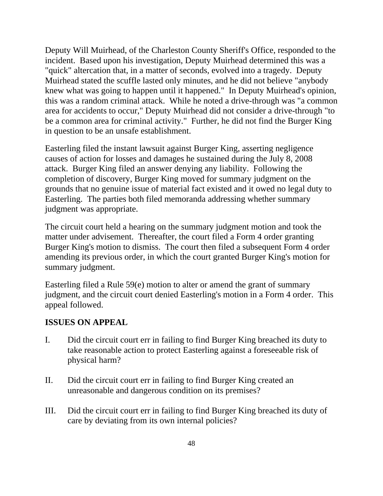Deputy Will Muirhead, of the Charleston County Sheriff's Office, responded to the incident. Based upon his investigation, Deputy Muirhead determined this was a "quick" altercation that, in a matter of seconds, evolved into a tragedy. Deputy Muirhead stated the scuffle lasted only minutes, and he did not believe "anybody knew what was going to happen until it happened." In Deputy Muirhead's opinion, this was a random criminal attack. While he noted a drive-through was "a common area for accidents to occur," Deputy Muirhead did not consider a drive-through "to be a common area for criminal activity." Further, he did not find the Burger King in question to be an unsafe establishment.

Easterling filed the instant lawsuit against Burger King, asserting negligence causes of action for losses and damages he sustained during the July 8, 2008 attack. Burger King filed an answer denying any liability. Following the completion of discovery, Burger King moved for summary judgment on the grounds that no genuine issue of material fact existed and it owed no legal duty to Easterling. The parties both filed memoranda addressing whether summary judgment was appropriate.

The circuit court held a hearing on the summary judgment motion and took the matter under advisement. Thereafter, the court filed a Form 4 order granting Burger King's motion to dismiss. The court then filed a subsequent Form 4 order amending its previous order, in which the court granted Burger King's motion for summary judgment.

Easterling filed a Rule 59(e) motion to alter or amend the grant of summary judgment, and the circuit court denied Easterling's motion in a Form 4 order. This appeal followed.

## **ISSUES ON APPEAL**

- I. Did the circuit court err in failing to find Burger King breached its duty to take reasonable action to protect Easterling against a foreseeable risk of physical harm?
- II. Did the circuit court err in failing to find Burger King created an unreasonable and dangerous condition on its premises?
- III. Did the circuit court err in failing to find Burger King breached its duty of care by deviating from its own internal policies?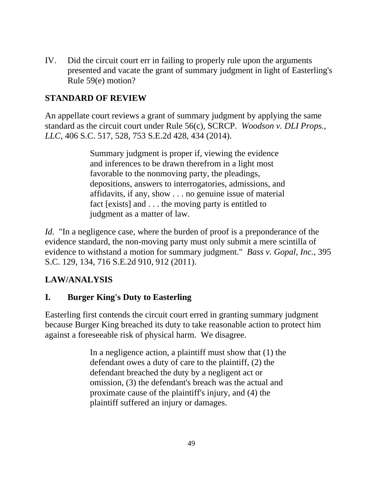IV. Did the circuit court err in failing to properly rule upon the arguments presented and vacate the grant of summary judgment in light of Easterling's Rule 59(e) motion?

# **STANDARD OF REVIEW**

An appellate court reviews a grant of summary judgment by applying the same standard as the circuit court under Rule 56(c), SCRCP. *Woodson v. DLI Props., LLC*, 406 S.C. 517, 528, 753 S.E.2d 428, 434 (2014).

> Summary judgment is proper if, viewing the evidence and inferences to be drawn therefrom in a light most favorable to the nonmoving party, the pleadings, depositions, answers to interrogatories, admissions, and affidavits, if any, show . . . no genuine issue of material fact [exists] and . . . the moving party is entitled to judgment as a matter of law.

*Id.* "In a negligence case, where the burden of proof is a preponderance of the evidence standard, the non-moving party must only submit a mere scintilla of evidence to withstand a motion for summary judgment." *Bass v. Gopal, Inc.*, 395 S.C. 129, 134, 716 S.E.2d 910, 912 (2011).

# **LAW/ANALYSIS**

# **I. Burger King's Duty to Easterling**

Easterling first contends the circuit court erred in granting summary judgment because Burger King breached its duty to take reasonable action to protect him against a foreseeable risk of physical harm. We disagree.

> In a negligence action, a plaintiff must show that (1) the defendant owes a duty of care to the plaintiff, (2) the defendant breached the duty by a negligent act or omission, (3) the defendant's breach was the actual and proximate cause of the plaintiff's injury, and (4) the plaintiff suffered an injury or damages.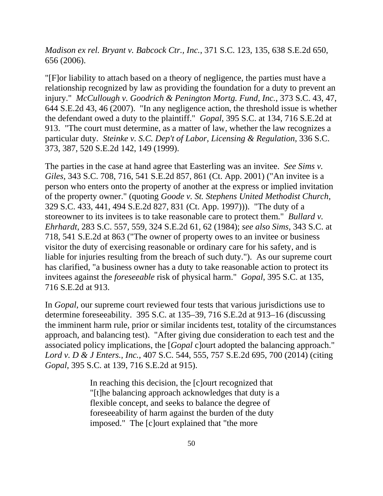*Madison ex rel. Bryant v. Babcock Ctr., Inc.*, 371 S.C. 123, 135, 638 S.E.2d 650, 656 (2006).

"[F]or liability to attach based on a theory of negligence, the parties must have a relationship recognized by law as providing the foundation for a duty to prevent an injury." *McCullough v. Goodrich & Penington Mortg. Fund, Inc.*, 373 S.C. 43, 47, 644 S.E.2d 43, 46 (2007). "In any negligence action, the threshold issue is whether the defendant owed a duty to the plaintiff." *Gopal*, 395 S.C. at 134, 716 S.E.2d at 913. "The court must determine, as a matter of law, whether the law recognizes a particular duty. *Steinke v. S.C. Dep't of Labor, Licensing & Regulation*, 336 S.C. 373, 387, 520 S.E.2d 142, 149 (1999).

The parties in the case at hand agree that Easterling was an invitee. *See Sims v. Giles*, 343 S.C. 708, 716, 541 S.E.2d 857, 861 (Ct. App. 2001) ("An invitee is a person who enters onto the property of another at the express or implied invitation of the property owner." (quoting *Goode v. St. Stephens United Methodist Church*, 329 S.C. 433, 441, 494 S.E.2d 827, 831 (Ct. App. 1997))). "The duty of a storeowner to its invitees is to take reasonable care to protect them." *Bullard v. Ehrhardt*, 283 S.C. 557, 559, 324 S.E.2d 61, 62 (1984); *see also Sims*, 343 S.C. at 718, 541 S.E.2d at 863 ("The owner of property owes to an invitee or business visitor the duty of exercising reasonable or ordinary care for his safety, and is liable for injuries resulting from the breach of such duty."). As our supreme court has clarified, "a business owner has a duty to take reasonable action to protect its invitees against the *foreseeable* risk of physical harm." *Gopal*, 395 S.C. at 135, 716 S.E.2d at 913.

In *Gopal*, our supreme court reviewed four tests that various jurisdictions use to determine foreseeability. 395 S.C. at 135–39, 716 S.E.2d at 913–16 (discussing the imminent harm rule, prior or similar incidents test, totality of the circumstances approach, and balancing test). "After giving due consideration to each test and the associated policy implications, the [*Gopal* c]ourt adopted the balancing approach." *Lord v. D & J Enters., Inc.*, 407 S.C. 544, 555, 757 S.E.2d 695, 700 (2014) (citing *Gopal*, 395 S.C. at 139, 716 S.E.2d at 915).

> In reaching this decision, the [c]ourt recognized that "[t]he balancing approach acknowledges that duty is a flexible concept, and seeks to balance the degree of foreseeability of harm against the burden of the duty imposed." The [c]ourt explained that "the more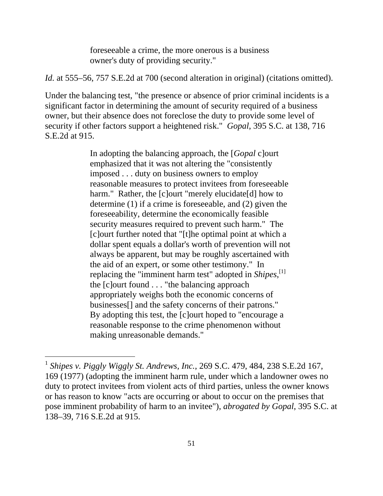foreseeable a crime, the more onerous is a business owner's duty of providing security."

*Id.* at 555–56, 757 S.E.2d at 700 (second alteration in original) (citations omitted).

Under the balancing test, "the presence or absence of prior criminal incidents is a significant factor in determining the amount of security required of a business owner, but their absence does not foreclose the duty to provide some level of security if other factors support a heightened risk." *Gopal*, 395 S.C. at 138, 716 S.E.2d at 915.

> In adopting the balancing approach, the [*Gopal* c]ourt emphasized that it was not altering the "consistently imposed . . . duty on business owners to employ reasonable measures to protect invitees from foreseeable harm." Rather, the [c]ourt "merely elucidate[d] how to determine (1) if a crime is foreseeable, and (2) given the foreseeability, determine the economically feasible security measures required to prevent such harm." The [c]ourt further noted that "[t]he optimal point at which a dollar spent equals a dollar's worth of prevention will not always be apparent, but may be roughly ascertained with the aid of an expert, or some other testimony." In replacing the "imminent harm test" adopted in *Shipes*,<sup>[1]</sup> the [c]ourt found . . . "the balancing approach appropriately weighs both the economic concerns of businesses[] and the safety concerns of their patrons." By adopting this test, the [c]ourt hoped to "encourage a reasonable response to the crime phenomenon without making unreasonable demands."

 $\overline{a}$ 

<sup>1</sup>*Shipes v. Piggly Wiggly St. Andrews, Inc.*, 269 S.C. 479, 484, 238 S.E.2d 167, 169 (1977) (adopting the imminent harm rule, under which a landowner owes no duty to protect invitees from violent acts of third parties, unless the owner knows or has reason to know "acts are occurring or about to occur on the premises that pose imminent probability of harm to an invitee"), *abrogated by Gopal*, 395 S.C. at 138–39, 716 S.E.2d at 915.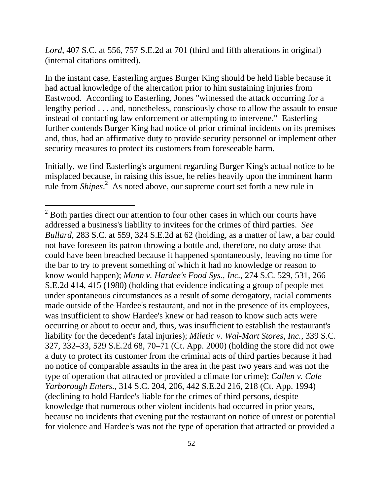*Lord*, 407 S.C. at 556, 757 S.E.2d at 701 (third and fifth alterations in original) (internal citations omitted).

In the instant case, Easterling argues Burger King should be held liable because it had actual knowledge of the altercation prior to him sustaining injuries from Eastwood. According to Easterling, Jones "witnessed the attack occurring for a lengthy period . . . and, nonetheless, consciously chose to allow the assault to ensue instead of contacting law enforcement or attempting to intervene." Easterling further contends Burger King had notice of prior criminal incidents on its premises and, thus, had an affirmative duty to provide security personnel or implement other security measures to protect its customers from foreseeable harm.

Initially, we find Easterling's argument regarding Burger King's actual notice to be misplaced because, in raising this issue, he relies heavily upon the imminent harm rule from *Shipes*<sup>2</sup> As noted above, our supreme court set forth a new rule in

 $\overline{a}$ 

 $2^{2}$  Both parties direct our attention to four other cases in which our courts have addressed a business's liability to invitees for the crimes of third parties. *See Bullard*, 283 S.C. at 559, 324 S.E.2d at 62 (holding, as a matter of law, a bar could not have foreseen its patron throwing a bottle and, therefore, no duty arose that could have been breached because it happened spontaneously, leaving no time for the bar to try to prevent something of which it had no knowledge or reason to know would happen); *Munn v. Hardee's Food Sys., Inc.*, 274 S.C. 529, 531, 266 S.E.2d 414, 415 (1980) (holding that evidence indicating a group of people met under spontaneous circumstances as a result of some derogatory, racial comments made outside of the Hardee's restaurant, and not in the presence of its employees, was insufficient to show Hardee's knew or had reason to know such acts were occurring or about to occur and, thus, was insufficient to establish the restaurant's liability for the decedent's fatal injuries); *Miletic v. Wal-Mart Stores, Inc.*, 339 S.C. 327, 332–33, 529 S.E.2d 68, 70–71 (Ct. App. 2000) (holding the store did not owe a duty to protect its customer from the criminal acts of third parties because it had no notice of comparable assaults in the area in the past two years and was not the type of operation that attracted or provided a climate for crime); *Callen v. Cale Yarborough Enters.*, 314 S.C. 204, 206, 442 S.E.2d 216, 218 (Ct. App. 1994) (declining to hold Hardee's liable for the crimes of third persons, despite knowledge that numerous other violent incidents had occurred in prior years, because no incidents that evening put the restaurant on notice of unrest or potential for violence and Hardee's was not the type of operation that attracted or provided a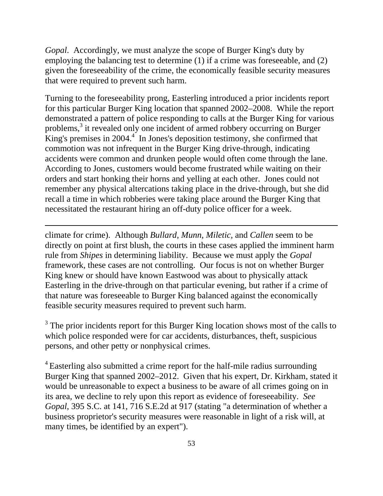*Gopal*. Accordingly, we must analyze the scope of Burger King's duty by employing the balancing test to determine (1) if a crime was foreseeable, and (2) given the foreseeability of the crime, the economically feasible security measures that were required to prevent such harm.

Turning to the foreseeability prong, Easterling introduced a prior incidents report for this particular Burger King location that spanned 2002–2008. While the report demonstrated a pattern of police responding to calls at the Burger King for various problems,<sup>3</sup> it revealed only one incident of armed robbery occurring on Burger King's premises in  $2004.<sup>4</sup>$  In Jones's deposition testimony, she confirmed that commotion was not infrequent in the Burger King drive-through, indicating accidents were common and drunken people would often come through the lane. According to Jones, customers would become frustrated while waiting on their orders and start honking their horns and yelling at each other. Jones could not remember any physical altercations taking place in the drive-through, but she did recall a time in which robberies were taking place around the Burger King that necessitated the restaurant hiring an off-duty police officer for a week.

climate for crime). Although *Bullard*, *Munn*, *Miletic*, and *Callen* seem to be directly on point at first blush, the courts in these cases applied the imminent harm rule from *Shipes* in determining liability. Because we must apply the *Gopal*  framework, these cases are not controlling. Our focus is not on whether Burger King knew or should have known Eastwood was about to physically attack Easterling in the drive-through on that particular evening, but rather if a crime of that nature was foreseeable to Burger King balanced against the economically feasible security measures required to prevent such harm.

 $\overline{a}$ 

 $3$  The prior incidents report for this Burger King location shows most of the calls to which police responded were for car accidents, disturbances, theft, suspicious persons, and other petty or nonphysical crimes.

<sup>4</sup> Easterling also submitted a crime report for the half-mile radius surrounding Burger King that spanned 2002–2012. Given that his expert, Dr. Kirkham, stated it would be unreasonable to expect a business to be aware of all crimes going on in its area, we decline to rely upon this report as evidence of foreseeability. *See Gopal*, 395 S.C. at 141, 716 S.E.2d at 917 (stating "a determination of whether a business proprietor's security measures were reasonable in light of a risk will, at many times, be identified by an expert").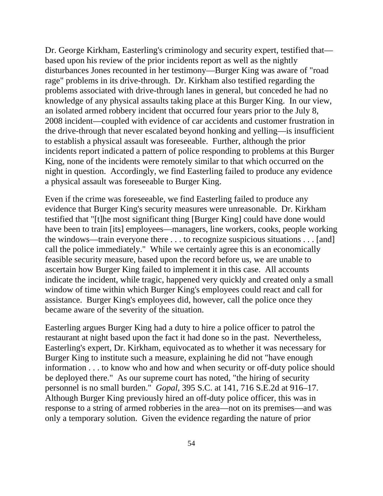Dr. George Kirkham, Easterling's criminology and security expert, testified that based upon his review of the prior incidents report as well as the nightly disturbances Jones recounted in her testimony—Burger King was aware of "road rage" problems in its drive-through. Dr. Kirkham also testified regarding the problems associated with drive-through lanes in general, but conceded he had no knowledge of any physical assaults taking place at this Burger King. In our view, an isolated armed robbery incident that occurred four years prior to the July 8, 2008 incident—coupled with evidence of car accidents and customer frustration in the drive-through that never escalated beyond honking and yelling—is insufficient to establish a physical assault was foreseeable. Further, although the prior incidents report indicated a pattern of police responding to problems at this Burger King, none of the incidents were remotely similar to that which occurred on the night in question. Accordingly, we find Easterling failed to produce any evidence a physical assault was foreseeable to Burger King.

Even if the crime was foreseeable, we find Easterling failed to produce any evidence that Burger King's security measures were unreasonable. Dr. Kirkham testified that "[t]he most significant thing [Burger King] could have done would have been to train [its] employees—managers, line workers, cooks, people working the windows—train everyone there . . . to recognize suspicious situations . . . [and] call the police immediately." While we certainly agree this is an economically feasible security measure, based upon the record before us, we are unable to ascertain how Burger King failed to implement it in this case. All accounts indicate the incident, while tragic, happened very quickly and created only a small window of time within which Burger King's employees could react and call for assistance. Burger King's employees did, however, call the police once they became aware of the severity of the situation.

Easterling argues Burger King had a duty to hire a police officer to patrol the restaurant at night based upon the fact it had done so in the past. Nevertheless, Easterling's expert, Dr. Kirkham, equivocated as to whether it was necessary for Burger King to institute such a measure, explaining he did not "have enough information . . . to know who and how and when security or off-duty police should be deployed there." As our supreme court has noted, "the hiring of security personnel is no small burden." *Gopal*, 395 S.C. at 141, 716 S.E.2d at 916–17. Although Burger King previously hired an off-duty police officer, this was in response to a string of armed robberies in the area—not on its premises—and was only a temporary solution. Given the evidence regarding the nature of prior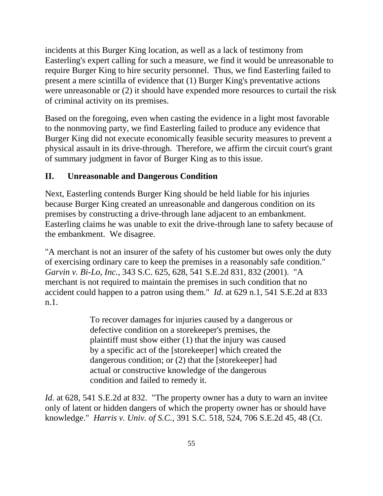incidents at this Burger King location, as well as a lack of testimony from Easterling's expert calling for such a measure, we find it would be unreasonable to require Burger King to hire security personnel. Thus, we find Easterling failed to present a mere scintilla of evidence that (1) Burger King's preventative actions were unreasonable or (2) it should have expended more resources to curtail the risk of criminal activity on its premises.

Based on the foregoing, even when casting the evidence in a light most favorable to the nonmoving party, we find Easterling failed to produce any evidence that Burger King did not execute economically feasible security measures to prevent a physical assault in its drive-through. Therefore, we affirm the circuit court's grant of summary judgment in favor of Burger King as to this issue.

# **II. Unreasonable and Dangerous Condition**

Next, Easterling contends Burger King should be held liable for his injuries because Burger King created an unreasonable and dangerous condition on its premises by constructing a drive-through lane adjacent to an embankment. Easterling claims he was unable to exit the drive-through lane to safety because of the embankment. We disagree.

"A merchant is not an insurer of the safety of his customer but owes only the duty of exercising ordinary care to keep the premises in a reasonably safe condition." *Garvin v. Bi-Lo, Inc.*, 343 S.C. 625, 628, 541 S.E.2d 831, 832 (2001). "A merchant is not required to maintain the premises in such condition that no accident could happen to a patron using them." *Id*. at 629 n.1, 541 S.E.2d at 833 n.1.

> To recover damages for injuries caused by a dangerous or defective condition on a storekeeper's premises, the plaintiff must show either (1) that the injury was caused by a specific act of the [storekeeper] which created the dangerous condition; or (2) that the [storekeeper] had actual or constructive knowledge of the dangerous condition and failed to remedy it.

*Id.* at 628, 541 S.E.2d at 832. "The property owner has a duty to warn an invitee only of latent or hidden dangers of which the property owner has or should have knowledge." *Harris v. Univ. of S.C.*, 391 S.C. 518, 524, 706 S.E.2d 45, 48 (Ct.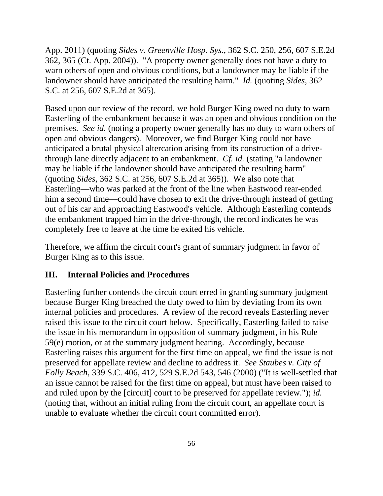App. 2011) (quoting *Sides v. Greenville Hosp. Sys.*, 362 S.C. 250, 256, 607 S.E.2d 362, 365 (Ct. App. 2004)). "A property owner generally does not have a duty to warn others of open and obvious conditions, but a landowner may be liable if the landowner should have anticipated the resulting harm." *Id.* (quoting *Sides*, 362 S.C. at 256, 607 S.E.2d at 365).

Based upon our review of the record, we hold Burger King owed no duty to warn Easterling of the embankment because it was an open and obvious condition on the premises. *See id.* (noting a property owner generally has no duty to warn others of open and obvious dangers). Moreover, we find Burger King could not have anticipated a brutal physical altercation arising from its construction of a drivethrough lane directly adjacent to an embankment. *Cf. id.* (stating "a landowner may be liable if the landowner should have anticipated the resulting harm" (quoting *Sides*, 362 S.C. at 256, 607 S.E.2d at 365)). We also note that Easterling—who was parked at the front of the line when Eastwood rear-ended him a second time—could have chosen to exit the drive-through instead of getting out of his car and approaching Eastwood's vehicle. Although Easterling contends the embankment trapped him in the drive-through, the record indicates he was completely free to leave at the time he exited his vehicle.

Therefore, we affirm the circuit court's grant of summary judgment in favor of Burger King as to this issue.

## **III. Internal Policies and Procedures**

Easterling further contends the circuit court erred in granting summary judgment because Burger King breached the duty owed to him by deviating from its own internal policies and procedures. A review of the record reveals Easterling never raised this issue to the circuit court below. Specifically, Easterling failed to raise the issue in his memorandum in opposition of summary judgment, in his Rule 59(e) motion, or at the summary judgment hearing. Accordingly, because Easterling raises this argument for the first time on appeal, we find the issue is not preserved for appellate review and decline to address it. *See Staubes v. City of Folly Beach*, 339 S.C. 406, 412, 529 S.E.2d 543, 546 (2000) ("It is well-settled that an issue cannot be raised for the first time on appeal, but must have been raised to and ruled upon by the [circuit] court to be preserved for appellate review."); *id.*  (noting that, without an initial ruling from the circuit court, an appellate court is unable to evaluate whether the circuit court committed error).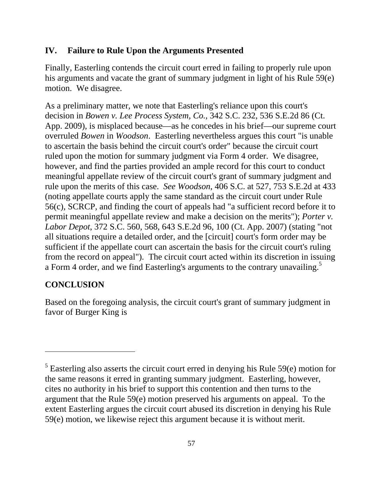#### **IV. Failure to Rule Upon the Arguments Presented**

Finally, Easterling contends the circuit court erred in failing to properly rule upon his arguments and vacate the grant of summary judgment in light of his Rule 59(e) motion. We disagree.

As a preliminary matter, we note that Easterling's reliance upon this court's decision in *Bowen v. Lee Process System, Co.*, 342 S.C. 232, 536 S.E.2d 86 (Ct. App. 2009), is misplaced because—as he concedes in his brief—our supreme court overruled *Bowen* in *Woodson*. Easterling nevertheless argues this court "is unable to ascertain the basis behind the circuit court's order" because the circuit court ruled upon the motion for summary judgment via Form 4 order. We disagree, however, and find the parties provided an ample record for this court to conduct meaningful appellate review of the circuit court's grant of summary judgment and rule upon the merits of this case. *See Woodson*, 406 S.C. at 527, 753 S.E.2d at 433 (noting appellate courts apply the same standard as the circuit court under Rule 56(c), SCRCP, and finding the court of appeals had "a sufficient record before it to permit meaningful appellate review and make a decision on the merits"); *Porter v. Labor Depot*, 372 S.C. 560, 568, 643 S.E.2d 96, 100 (Ct. App. 2007) (stating "not all situations require a detailed order, and the [circuit] court's form order may be sufficient if the appellate court can ascertain the basis for the circuit court's ruling from the record on appeal"). The circuit court acted within its discretion in issuing a Form 4 order, and we find Easterling's arguments to the contrary unavailing.<sup>5</sup>

# **CONCLUSION**

 $\overline{a}$ 

Based on the foregoing analysis, the circuit court's grant of summary judgment in favor of Burger King is

 $<sup>5</sup>$  Easterling also asserts the circuit court erred in denying his Rule 59 $(e)$  motion for</sup> the same reasons it erred in granting summary judgment. Easterling, however, cites no authority in his brief to support this contention and then turns to the argument that the Rule 59(e) motion preserved his arguments on appeal. To the extent Easterling argues the circuit court abused its discretion in denying his Rule 59(e) motion, we likewise reject this argument because it is without merit.